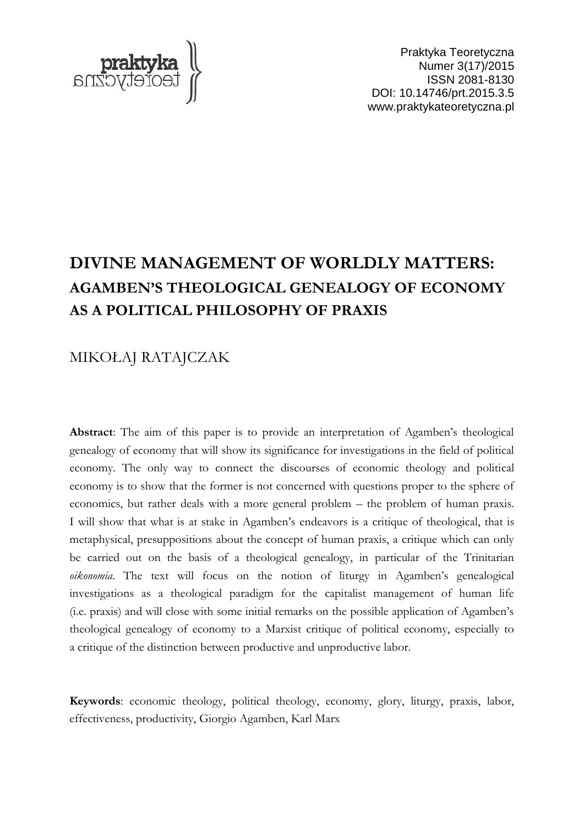

Praktyka Teoretyczna Numer 3(17)/2015 ISSN 2081-8130 DOI: 10.14746/prt.2015.3.5 www.praktykateoretyczna.pl

# **DIVINE MANAGEMENT OF WORLDLY MATTERS: AGAMBEN'S THEOLOGICAL GENEALOGY OF ECONOMY AS A POLITICAL PHILOSOPHY OF PRAXIS**

## MIKOŁAJ RATAJCZAK

**Abstract**: The aim of this paper is to provide an interpretation of Agamben's theological genealogy of economy that will show its significance for investigations in the field of political economy. The only way to connect the discourses of economic theology and political economy is to show that the former is not concerned with questions proper to the sphere of economics, but rather deals with a more general problem – the problem of human praxis. I will show that what is at stake in Agamben's endeavors is a critique of theological, that is metaphysical, presuppositions about the concept of human praxis, a critique which can only be carried out on the basis of a theological genealogy, in particular of the Trinitarian *oikonomia*. The text will focus on the notion of liturgy in Agamben's genealogical investigations as a theological paradigm for the capitalist management of human life (i.e. praxis) and will close with some initial remarks on the possible application of Agamben's theological genealogy of economy to a Marxist critique of political economy, especially to a critique of the distinction between productive and unproductive labor.

**Keywords**: economic theology, political theology, economy, glory, liturgy, praxis, labor, effectiveness, productivity, Giorgio Agamben, Karl Marx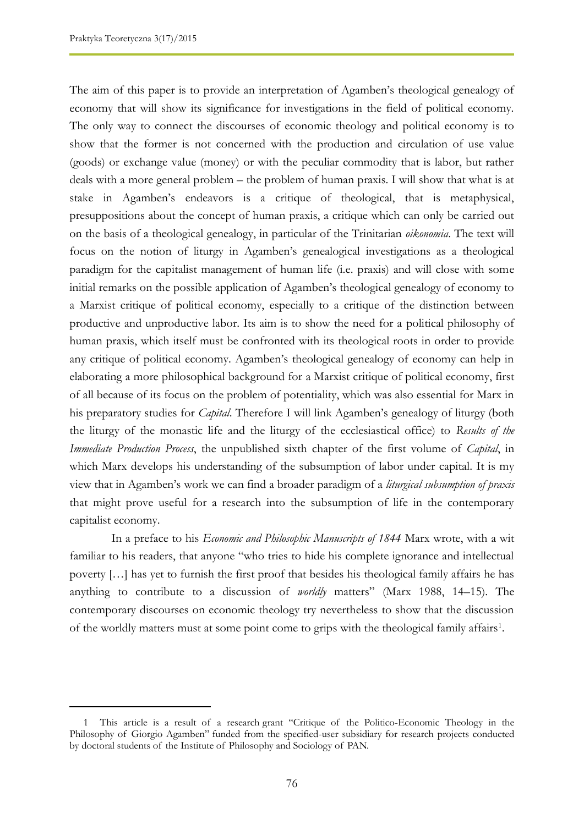The aim of this paper is to provide an interpretation of Agamben's theological genealogy of economy that will show its significance for investigations in the field of political economy. The only way to connect the discourses of economic theology and political economy is to show that the former is not concerned with the production and circulation of use value (goods) or exchange value (money) or with the peculiar commodity that is labor, but rather deals with a more general problem – the problem of human praxis. I will show that what is at stake in Agamben's endeavors is a critique of theological, that is metaphysical, presuppositions about the concept of human praxis, a critique which can only be carried out on the basis of a theological genealogy, in particular of the Trinitarian *oikonomia*. The text will focus on the notion of liturgy in Agamben's genealogical investigations as a theological paradigm for the capitalist management of human life (i.e. praxis) and will close with some initial remarks on the possible application of Agamben's theological genealogy of economy to a Marxist critique of political economy, especially to a critique of the distinction between productive and unproductive labor. Its aim is to show the need for a political philosophy of human praxis, which itself must be confronted with its theological roots in order to provide any critique of political economy. Agamben's theological genealogy of economy can help in elaborating a more philosophical background for a Marxist critique of political economy, first of all because of its focus on the problem of potentiality, which was also essential for Marx in his preparatory studies for *Capital*. Therefore I will link Agamben's genealogy of liturgy (both the liturgy of the monastic life and the liturgy of the ecclesiastical office) to *Results of the Immediate Production Process*, the unpublished sixth chapter of the first volume of *Capital*, in which Marx develops his understanding of the subsumption of labor under capital. It is my view that in Agamben's work we can find a broader paradigm of a *liturgical subsumption of praxis* that might prove useful for a research into the subsumption of life in the contemporary capitalist economy.

In a preface to his *Economic and Philosophic Manuscripts of 1844* Marx wrote, with a wit familiar to his readers, that anyone "who tries to hide his complete ignorance and intellectual poverty […] has yet to furnish the first proof that besides his theological family affairs he has anything to contribute to a discussion of *worldly* matters" (Marx 1988, 14–15). The contemporary discourses on economic theology try nevertheless to show that the discussion of the worldly matters must at some point come to grips with the theological family affairs<sup>1</sup> .

<sup>1</sup> This article is a result of a research grant "Critique of the Politico-Economic Theology in the Philosophy of Giorgio Agamben" funded from the specified-user subsidiary for research projects conducted by doctoral students of the Institute of Philosophy and Sociology of PAN.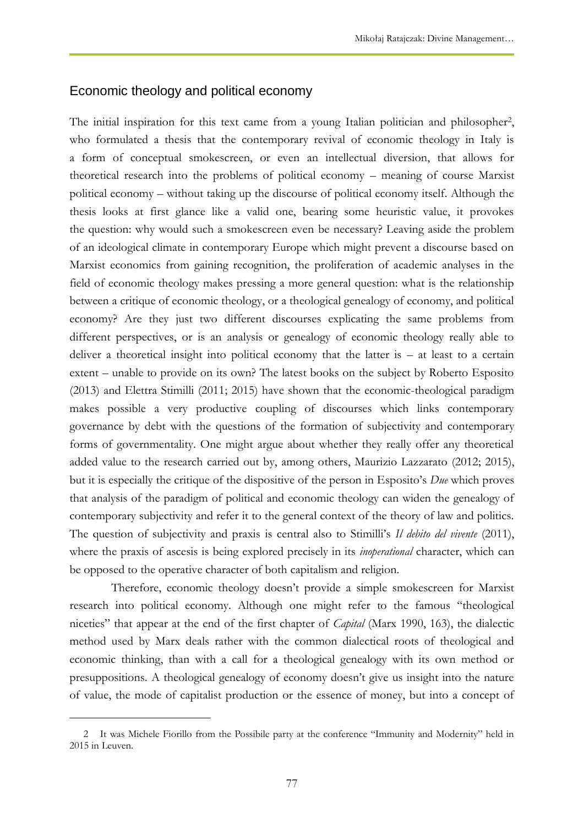#### Economic theology and political economy

The initial inspiration for this text came from a young Italian politician and philosopher<sup>2</sup>, who formulated a thesis that the contemporary revival of economic theology in Italy is a form of conceptual smokescreen, or even an intellectual diversion, that allows for theoretical research into the problems of political economy – meaning of course Marxist political economy – without taking up the discourse of political economy itself. Although the thesis looks at first glance like a valid one, bearing some heuristic value, it provokes the question: why would such a smokescreen even be necessary? Leaving aside the problem of an ideological climate in contemporary Europe which might prevent a discourse based on Marxist economics from gaining recognition, the proliferation of academic analyses in the field of economic theology makes pressing a more general question: what is the relationship between a critique of economic theology, or a theological genealogy of economy, and political economy? Are they just two different discourses explicating the same problems from different perspectives, or is an analysis or genealogy of economic theology really able to deliver a theoretical insight into political economy that the latter is – at least to a certain extent – unable to provide on its own? The latest books on the subject by Roberto Esposito (2013) and Elettra Stimilli (2011; 2015) have shown that the economic-theological paradigm makes possible a very productive coupling of discourses which links contemporary governance by debt with the questions of the formation of subjectivity and contemporary forms of governmentality. One might argue about whether they really offer any theoretical added value to the research carried out by, among others, Maurizio Lazzarato (2012; 2015), but it is especially the critique of the dispositive of the person in Esposito's *Due* which proves that analysis of the paradigm of political and economic theology can widen the genealogy of contemporary subjectivity and refer it to the general context of the theory of law and politics. The question of subjectivity and praxis is central also to Stimilli's *Il debito del vivente* (2011), where the praxis of ascesis is being explored precisely in its *inoperational* character, which can be opposed to the operative character of both capitalism and religion.

Therefore, economic theology doesn't provide a simple smokescreen for Marxist research into political economy. Although one might refer to the famous "theological niceties" that appear at the end of the first chapter of *Capital* (Marx 1990, 163), the dialectic method used by Marx deals rather with the common dialectical roots of theological and economic thinking, than with a call for a theological genealogy with its own method or presuppositions. A theological genealogy of economy doesn't give us insight into the nature of value, the mode of capitalist production or the essence of money, but into a concept of

 $\overline{a}$ 

<sup>2</sup> It was Michele Fiorillo from the Possibile party at the conference "Immunity and Modernity" held in 2015 in Leuven.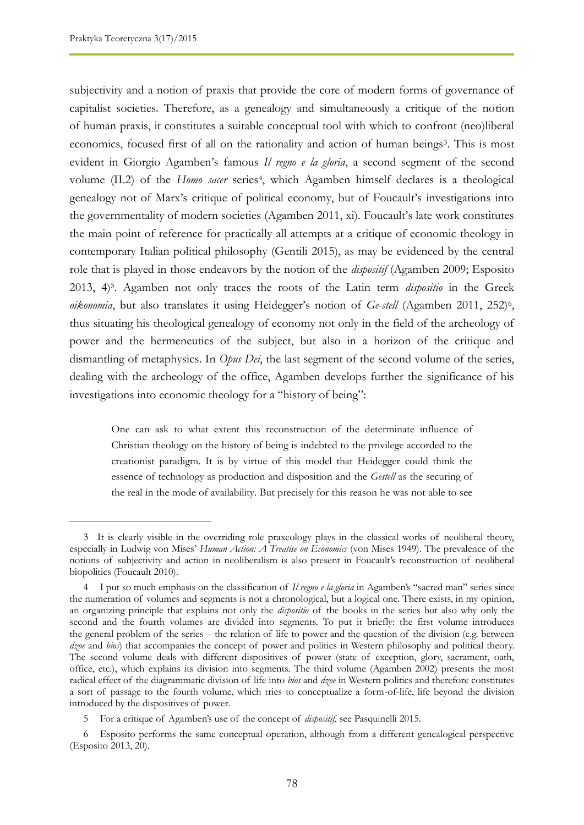subjectivity and a notion of praxis that provide the core of modern forms of governance of capitalist societies. Therefore, as a genealogy and simultaneously a critique of the notion of human praxis, it constitutes a suitable conceptual tool with which to confront (neo)liberal economics, focused first of all on the rationality and action of human beings<sup>3</sup>. This is most evident in Giorgio Agamben's famous *Il regno e la gloria*, a second segment of the second volume (II.2) of the *Homo sacer* series<sup>4</sup>, which Agamben himself declares is a theological genealogy not of Marx's critique of political economy, but of Foucault's investigations into the governmentality of modern societies (Agamben 2011, xi). Foucault's late work constitutes the main point of reference for practically all attempts at a critique of economic theology in contemporary Italian political philosophy (Gentili 2015), as may be evidenced by the central role that is played in those endeavors by the notion of the *dispositif* (Agamben 2009; Esposito 2013, 4)<sup>5</sup> . Agamben not only traces the roots of the Latin term *dispositio* in the Greek oikonomia, but also translates it using Heidegger's notion of Ge-stell (Agamben 2011, 252)<sup>6</sup>, thus situating his theological genealogy of economy not only in the field of the archeology of power and the hermeneutics of the subject, but also in a horizon of the critique and dismantling of metaphysics. In *Opus Dei*, the last segment of the second volume of the series, dealing with the archeology of the office, Agamben develops further the significance of his investigations into economic theology for a "history of being":

One can ask to what extent this reconstruction of the determinate influence of Christian theology on the history of being is indebted to the privilege accorded to the creationist paradigm. It is by virtue of this model that Heidegger could think the essence of technology as production and disposition and the *Gestell* as the securing of the real in the mode of availability. But precisely for this reason he was not able to see

<sup>3</sup> It is clearly visible in the overriding role praxeology plays in the classical works of neoliberal theory, especially in Ludwig von Mises' *Human Action: A Treatise on Economics* (von Mises 1949). The prevalence of the notions of subjectivity and action in neoliberalism is also present in Foucault's reconstruction of neoliberal biopolitics (Foucault 2010).

<sup>4</sup> I put so much emphasis on the classification of *Il regno e la gloria* in Agamben's "sacred man" series since the numeration of volumes and segments is not a chronological, but a logical one. There exists, in my opinion, an organizing principle that explains not only the *dispositio* of the books in the series but also why only the second and the fourth volumes are divided into segments. To put it briefly: the first volume introduces the general problem of the series – the relation of life to power and the question of the division (e.g. between *dzoe* and *bios*) that accompanies the concept of power and politics in Western philosophy and political theory. The second volume deals with different dispositives of power (state of exception, glory, sacrament, oath, office, etc.), which explains its division into segments. The third volume (Agamben 2002) presents the most radical effect of the diagrammatic division of life into *bios* and *dzoe* in Western politics and therefore constitutes a sort of passage to the fourth volume, which tries to conceptualize a form-of-life, life beyond the division introduced by the dispositives of power.

<sup>5</sup> For a critique of Agamben's use of the concept of *dispositif*, see Pasquinelli 2015.

<sup>6</sup> Esposito performs the same conceptual operation, although from a different genealogical perspective (Esposito 2013, 20).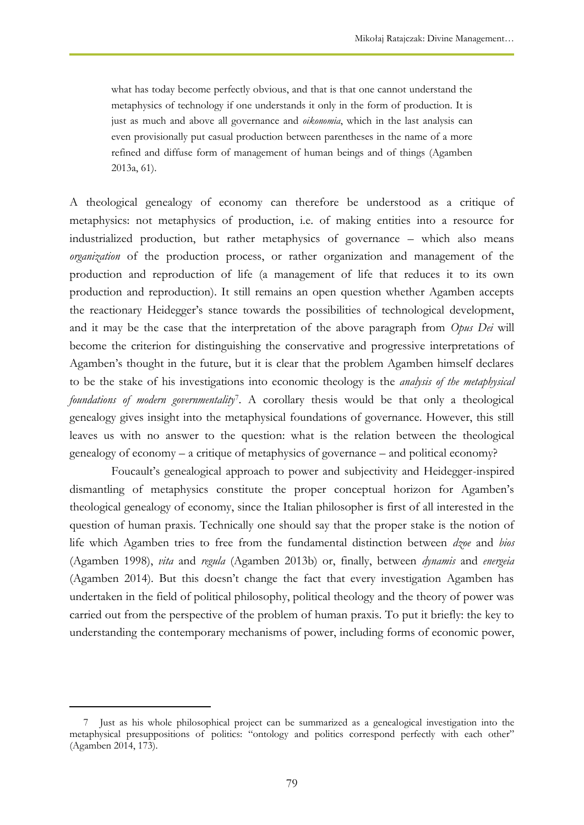what has today become perfectly obvious, and that is that one cannot understand the metaphysics of technology if one understands it only in the form of production. It is just as much and above all governance and *oikonomia*, which in the last analysis can even provisionally put casual production between parentheses in the name of a more refined and diffuse form of management of human beings and of things (Agamben 2013a, 61).

A theological genealogy of economy can therefore be understood as a critique of metaphysics: not metaphysics of production, i.e. of making entities into a resource for industrialized production, but rather metaphysics of governance – which also means *organization* of the production process, or rather organization and management of the production and reproduction of life (a management of life that reduces it to its own production and reproduction). It still remains an open question whether Agamben accepts the reactionary Heidegger's stance towards the possibilities of technological development, and it may be the case that the interpretation of the above paragraph from *Opus Dei* will become the criterion for distinguishing the conservative and progressive interpretations of Agamben's thought in the future, but it is clear that the problem Agamben himself declares to be the stake of his investigations into economic theology is the *analysis of the metaphysical foundations of modern governmentality*<sup>7</sup> . A corollary thesis would be that only a theological genealogy gives insight into the metaphysical foundations of governance. However, this still leaves us with no answer to the question: what is the relation between the theological genealogy of economy – a critique of metaphysics of governance – and political economy?

Foucault's genealogical approach to power and subjectivity and Heidegger-inspired dismantling of metaphysics constitute the proper conceptual horizon for Agamben's theological genealogy of economy, since the Italian philosopher is first of all interested in the question of human praxis. Technically one should say that the proper stake is the notion of life which Agamben tries to free from the fundamental distinction between *dzoe* and *bios*  (Agamben 1998), *vita* and *regula* (Agamben 2013b) or, finally, between *dynamis* and *energeia*  (Agamben 2014). But this doesn't change the fact that every investigation Agamben has undertaken in the field of political philosophy, political theology and the theory of power was carried out from the perspective of the problem of human praxis. To put it briefly: the key to understanding the contemporary mechanisms of power, including forms of economic power,

 $\overline{a}$ 

<sup>7</sup> Just as his whole philosophical project can be summarized as a genealogical investigation into the metaphysical presuppositions of politics: "ontology and politics correspond perfectly with each other" (Agamben 2014, 173).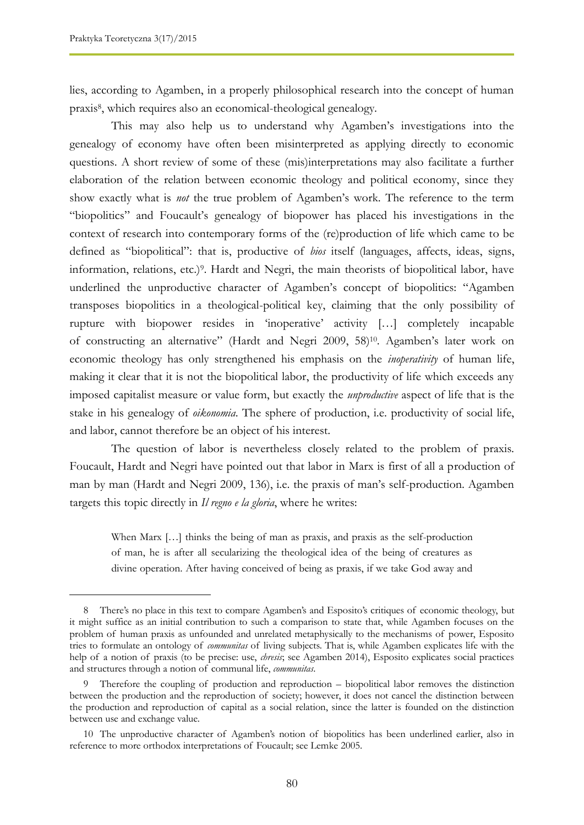lies, according to Agamben, in a properly philosophical research into the concept of human praxis<sup>8</sup> , which requires also an economical-theological genealogy.

This may also help us to understand why Agamben's investigations into the genealogy of economy have often been misinterpreted as applying directly to economic questions. A short review of some of these (mis)interpretations may also facilitate a further elaboration of the relation between economic theology and political economy, since they show exactly what is *not* the true problem of Agamben's work. The reference to the term "biopolitics" and Foucault's genealogy of biopower has placed his investigations in the context of research into contemporary forms of the (re)production of life which came to be defined as "biopolitical": that is, productive of *bios* itself (languages, affects, ideas, signs, information, relations, etc.)<sup>9</sup> . Hardt and Negri, the main theorists of biopolitical labor, have underlined the unproductive character of Agamben's concept of biopolitics: "Agamben transposes biopolitics in a theological-political key, claiming that the only possibility of rupture with biopower resides in 'inoperative' activity […] completely incapable of constructing an alternative" (Hardt and Negri 2009, 58)10. Agamben's later work on economic theology has only strengthened his emphasis on the *inoperativity* of human life, making it clear that it is not the biopolitical labor, the productivity of life which exceeds any imposed capitalist measure or value form, but exactly the *unproductive* aspect of life that is the stake in his genealogy of *oikonomia*. The sphere of production, i.e. productivity of social life, and labor, cannot therefore be an object of his interest.

The question of labor is nevertheless closely related to the problem of praxis. Foucault, Hardt and Negri have pointed out that labor in Marx is first of all a production of man by man (Hardt and Negri 2009, 136), i.e. the praxis of man's self-production. Agamben targets this topic directly in *Il regno e la gloria*, where he writes:

When Marx [...] thinks the being of man as praxis, and praxis as the self-production of man, he is after all secularizing the theological idea of the being of creatures as divine operation. After having conceived of being as praxis, if we take God away and

<sup>8</sup> There's no place in this text to compare Agamben's and Esposito's critiques of economic theology, but it might suffice as an initial contribution to such a comparison to state that, while Agamben focuses on the problem of human praxis as unfounded and unrelated metaphysically to the mechanisms of power, Esposito tries to formulate an ontology of *communitas* of living subjects. That is, while Agamben explicates life with the help of a notion of praxis (to be precise: use, *chresis*; see Agamben 2014), Esposito explicates social practices and structures through a notion of communal life, *communitas*.

<sup>9</sup> Therefore the coupling of production and reproduction – biopolitical labor removes the distinction between the production and the reproduction of society; however, it does not cancel the distinction between the production and reproduction of capital as a social relation, since the latter is founded on the distinction between use and exchange value.

<sup>10</sup> The unproductive character of Agamben's notion of biopolitics has been underlined earlier, also in reference to more orthodox interpretations of Foucault; see Lemke 2005.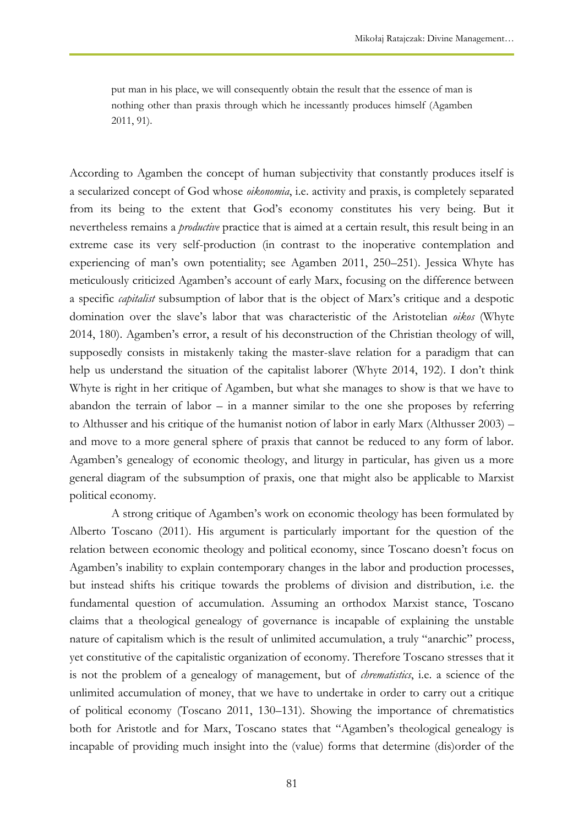put man in his place, we will consequently obtain the result that the essence of man is nothing other than praxis through which he incessantly produces himself (Agamben 2011, 91).

According to Agamben the concept of human subjectivity that constantly produces itself is a secularized concept of God whose *oikonomia*, i.e. activity and praxis, is completely separated from its being to the extent that God's economy constitutes his very being. But it nevertheless remains a *productive* practice that is aimed at a certain result, this result being in an extreme case its very self-production (in contrast to the inoperative contemplation and experiencing of man's own potentiality; see Agamben 2011, 250–251). Jessica Whyte has meticulously criticized Agamben's account of early Marx, focusing on the difference between a specific *capitalist* subsumption of labor that is the object of Marx's critique and a despotic domination over the slave's labor that was characteristic of the Aristotelian *oikos* (Whyte 2014, 180). Agamben's error, a result of his deconstruction of the Christian theology of will, supposedly consists in mistakenly taking the master-slave relation for a paradigm that can help us understand the situation of the capitalist laborer (Whyte 2014, 192). I don't think Whyte is right in her critique of Agamben, but what she manages to show is that we have to abandon the terrain of labor  $-$  in a manner similar to the one she proposes by referring to Althusser and his critique of the humanist notion of labor in early Marx (Althusser 2003) – and move to a more general sphere of praxis that cannot be reduced to any form of labor. Agamben's genealogy of economic theology, and liturgy in particular, has given us a more general diagram of the subsumption of praxis, one that might also be applicable to Marxist political economy.

A strong critique of Agamben's work on economic theology has been formulated by Alberto Toscano (2011). His argument is particularly important for the question of the relation between economic theology and political economy, since Toscano doesn't focus on Agamben's inability to explain contemporary changes in the labor and production processes, but instead shifts his critique towards the problems of division and distribution, i.e. the fundamental question of accumulation. Assuming an orthodox Marxist stance, Toscano claims that a theological genealogy of governance is incapable of explaining the unstable nature of capitalism which is the result of unlimited accumulation, a truly "anarchic" process, yet constitutive of the capitalistic organization of economy. Therefore Toscano stresses that it is not the problem of a genealogy of management, but of *chrematistics*, i.e. a science of the unlimited accumulation of money, that we have to undertake in order to carry out a critique of political economy (Toscano 2011, 130–131). Showing the importance of chrematistics both for Aristotle and for Marx, Toscano states that "Agamben's theological genealogy is incapable of providing much insight into the (value) forms that determine (dis)order of the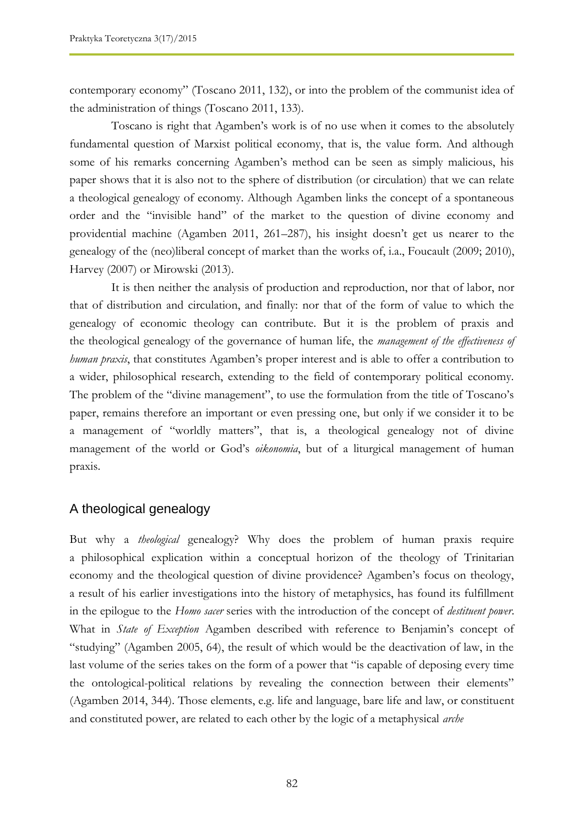contemporary economy" (Toscano 2011, 132), or into the problem of the communist idea of the administration of things (Toscano 2011, 133).

Toscano is right that Agamben's work is of no use when it comes to the absolutely fundamental question of Marxist political economy, that is, the value form. And although some of his remarks concerning Agamben's method can be seen as simply malicious, his paper shows that it is also not to the sphere of distribution (or circulation) that we can relate a theological genealogy of economy. Although Agamben links the concept of a spontaneous order and the "invisible hand" of the market to the question of divine economy and providential machine (Agamben 2011, 261–287), his insight doesn't get us nearer to the genealogy of the (neo)liberal concept of market than the works of, i.a., Foucault (2009; 2010), Harvey (2007) or Mirowski (2013).

It is then neither the analysis of production and reproduction, nor that of labor, nor that of distribution and circulation, and finally: nor that of the form of value to which the genealogy of economic theology can contribute. But it is the problem of praxis and the theological genealogy of the governance of human life, the *management of the effectiveness of human praxis*, that constitutes Agamben's proper interest and is able to offer a contribution to a wider, philosophical research, extending to the field of contemporary political economy. The problem of the "divine management", to use the formulation from the title of Toscano's paper, remains therefore an important or even pressing one, but only if we consider it to be a management of "worldly matters", that is, a theological genealogy not of divine management of the world or God's *oikonomia*, but of a liturgical management of human praxis.

#### A theological genealogy

But why a *theological* genealogy? Why does the problem of human praxis require a philosophical explication within a conceptual horizon of the theology of Trinitarian economy and the theological question of divine providence? Agamben's focus on theology, a result of his earlier investigations into the history of metaphysics, has found its fulfillment in the epilogue to the *Homo sacer* series with the introduction of the concept of *destituent power*. What in *State of Exception* Agamben described with reference to Benjamin's concept of "studying" (Agamben 2005, 64), the result of which would be the deactivation of law, in the last volume of the series takes on the form of a power that "is capable of deposing every time the ontological-political relations by revealing the connection between their elements" (Agamben 2014, 344). Those elements, e.g. life and language, bare life and law, or constituent and constituted power, are related to each other by the logic of a metaphysical *arche*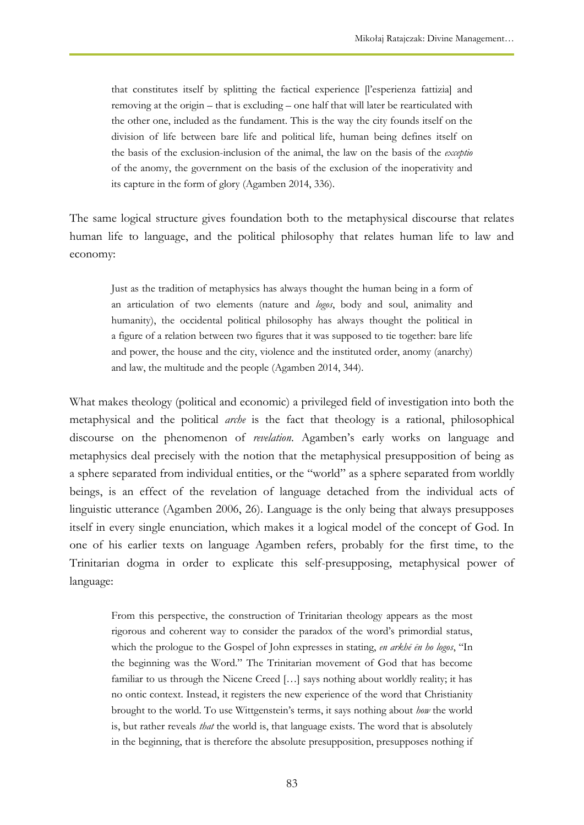that constitutes itself by splitting the factical experience [l'esperienza fattizia] and removing at the origin – that is excluding – one half that will later be rearticulated with the other one, included as the fundament. This is the way the city founds itself on the division of life between bare life and political life, human being defines itself on the basis of the exclusion-inclusion of the animal, the law on the basis of the *exceptio* of the anomy, the government on the basis of the exclusion of the inoperativity and its capture in the form of glory (Agamben 2014, 336).

The same logical structure gives foundation both to the metaphysical discourse that relates human life to language, and the political philosophy that relates human life to law and economy:

Just as the tradition of metaphysics has always thought the human being in a form of an articulation of two elements (nature and *logos*, body and soul, animality and humanity), the occidental political philosophy has always thought the political in a figure of a relation between two figures that it was supposed to tie together: bare life and power, the house and the city, violence and the instituted order, anomy (anarchy) and law, the multitude and the people (Agamben 2014, 344).

What makes theology (political and economic) a privileged field of investigation into both the metaphysical and the political *arche* is the fact that theology is a rational, philosophical discourse on the phenomenon of *revelation*. Agamben's early works on language and metaphysics deal precisely with the notion that the metaphysical presupposition of being as a sphere separated from individual entities, or the "world" as a sphere separated from worldly beings, is an effect of the revelation of language detached from the individual acts of linguistic utterance (Agamben 2006, 26). Language is the only being that always presupposes itself in every single enunciation, which makes it a logical model of the concept of God. In one of his earlier texts on language Agamben refers, probably for the first time, to the Trinitarian dogma in order to explicate this self-presupposing, metaphysical power of language:

From this perspective, the construction of Trinitarian theology appears as the most rigorous and coherent way to consider the paradox of the word's primordial status, which the prologue to the Gospel of John expresses in stating, *en arkhē ēn ho logos*, "In the beginning was the Word." The Trinitarian movement of God that has become familiar to us through the Nicene Creed […] says nothing about worldly reality; it has no ontic context. Instead, it registers the new experience of the word that Christianity brought to the world. To use Wittgenstein's terms, it says nothing about *how* the world is, but rather reveals *that* the world is, that language exists. The word that is absolutely in the beginning, that is therefore the absolute presupposition, presupposes nothing if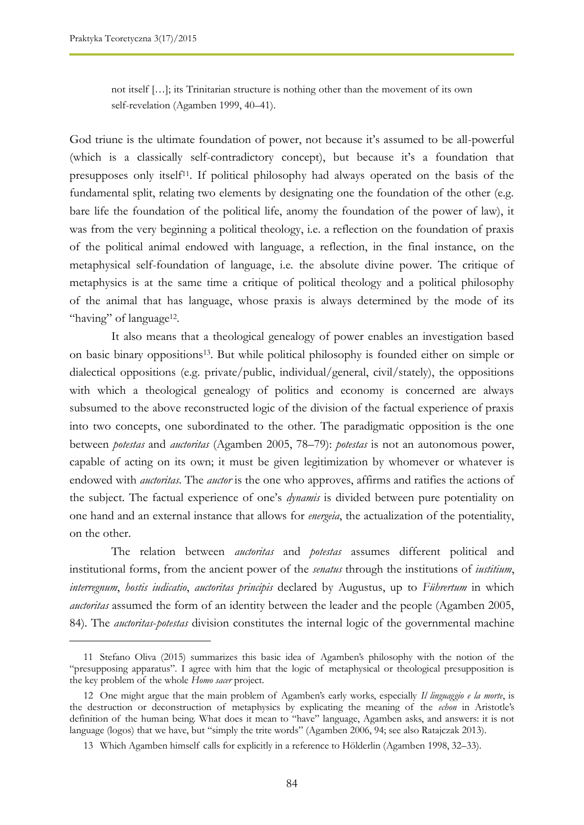not itself […]; its Trinitarian structure is nothing other than the movement of its own self-revelation (Agamben 1999, 40–41).

God triune is the ultimate foundation of power, not because it's assumed to be all-powerful (which is a classically self-contradictory concept), but because it's a foundation that presupposes only itself<sup>11</sup>. If political philosophy had always operated on the basis of the fundamental split, relating two elements by designating one the foundation of the other (e.g. bare life the foundation of the political life, anomy the foundation of the power of law), it was from the very beginning a political theology, i.e. a reflection on the foundation of praxis of the political animal endowed with language, a reflection, in the final instance, on the metaphysical self-foundation of language, i.e. the absolute divine power. The critique of metaphysics is at the same time a critique of political theology and a political philosophy of the animal that has language, whose praxis is always determined by the mode of its "having" of language<sup>12</sup>.

It also means that a theological genealogy of power enables an investigation based on basic binary oppositions13. But while political philosophy is founded either on simple or dialectical oppositions (e.g. private/public, individual/general, civil/stately), the oppositions with which a theological genealogy of politics and economy is concerned are always subsumed to the above reconstructed logic of the division of the factual experience of praxis into two concepts, one subordinated to the other. The paradigmatic opposition is the one between *potestas* and *auctoritas* (Agamben 2005, 78–79): *potestas* is not an autonomous power, capable of acting on its own; it must be given legitimization by whomever or whatever is endowed with *auctoritas*. The *auctor* is the one who approves, affirms and ratifies the actions of the subject. The factual experience of one's *dynamis* is divided between pure potentiality on one hand and an external instance that allows for *energeia*, the actualization of the potentiality, on the other.

The relation between *auctoritas* and *potestas* assumes different political and institutional forms, from the ancient power of the *senatus* through the institutions of *iustitium*, *interregnum*, *hostis iudicatio*, *auctoritas principis* declared by Augustus, up to *Führertum* in which *auctoritas* assumed the form of an identity between the leader and the people (Agamben 2005, 84). The *auctoritas*-*potestas* division constitutes the internal logic of the governmental machine

<sup>11</sup> Stefano Oliva (2015) summarizes this basic idea of Agamben's philosophy with the notion of the "presupposing apparatus". I agree with him that the logic of metaphysical or theological presupposition is the key problem of the whole *Homo sacer* project.

<sup>12</sup> One might argue that the main problem of Agamben's early works, especially *Il linguaggio e la morte*, is the destruction or deconstruction of metaphysics by explicating the meaning of the *echon* in Aristotle's definition of the human being. What does it mean to "have" language, Agamben asks, and answers: it is not language (logos) that we have, but "simply the trite words" (Agamben 2006, 94; see also Ratajczak 2013).

<sup>13</sup> Which Agamben himself calls for explicitly in a reference to Hölderlin (Agamben 1998, 32–33).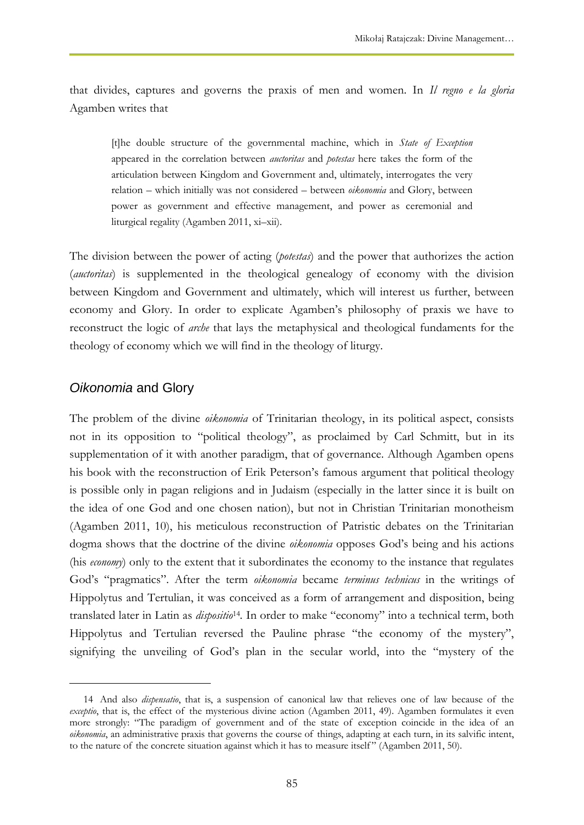that divides, captures and governs the praxis of men and women. In *Il regno e la gloria*  Agamben writes that

[t]he double structure of the governmental machine, which in *State of Exception* appeared in the correlation between *auctoritas* and *potestas* here takes the form of the articulation between Kingdom and Government and, ultimately, interrogates the very relation – which initially was not considered – between *oikonomia* and Glory, between power as government and effective management, and power as ceremonial and liturgical regality (Agamben 2011, xi–xii).

The division between the power of acting (*potestas*) and the power that authorizes the action (*auctoritas*) is supplemented in the theological genealogy of economy with the division between Kingdom and Government and ultimately, which will interest us further, between economy and Glory. In order to explicate Agamben's philosophy of praxis we have to reconstruct the logic of *arche* that lays the metaphysical and theological fundaments for the theology of economy which we will find in the theology of liturgy.

#### *Oikonomia* and Glory

 $\overline{a}$ 

The problem of the divine *oikonomia* of Trinitarian theology, in its political aspect, consists not in its opposition to "political theology", as proclaimed by Carl Schmitt, but in its supplementation of it with another paradigm, that of governance. Although Agamben opens his book with the reconstruction of Erik Peterson's famous argument that political theology is possible only in pagan religions and in Judaism (especially in the latter since it is built on the idea of one God and one chosen nation), but not in Christian Trinitarian monotheism (Agamben 2011, 10), his meticulous reconstruction of Patristic debates on the Trinitarian dogma shows that the doctrine of the divine *oikonomia* opposes God's being and his actions (his *economy*) only to the extent that it subordinates the economy to the instance that regulates God's "pragmatics". After the term *oikonomia* became *terminus technicus* in the writings of Hippolytus and Tertulian, it was conceived as a form of arrangement and disposition, being translated later in Latin as *dispositio*<sup>14</sup> *.* In order to make "economy" into a technical term, both Hippolytus and Tertulian reversed the Pauline phrase "the economy of the mystery", signifying the unveiling of God's plan in the secular world, into the "mystery of the

<sup>14</sup> And also *dispensatio*, that is, a suspension of canonical law that relieves one of law because of the *exceptio*, that is, the effect of the mysterious divine action (Agamben 2011, 49). Agamben formulates it even more strongly: "The paradigm of government and of the state of exception coincide in the idea of an *oikonomia*, an administrative praxis that governs the course of things, adapting at each turn, in its salvific intent, to the nature of the concrete situation against which it has to measure itself " (Agamben 2011, 50).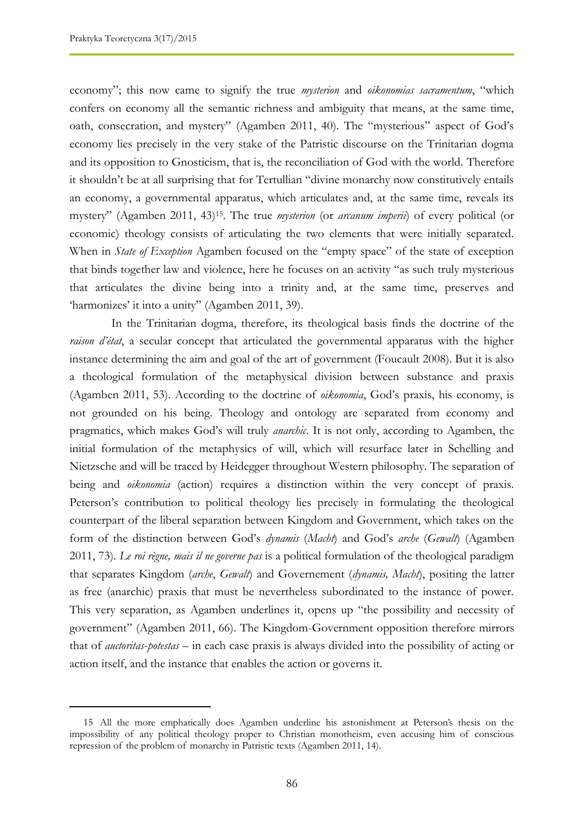economy"; this now came to signify the true *mysterion* and *oikonomias sacramentum*, "which confers on economy all the semantic richness and ambiguity that means, at the same time, oath, consecration, and mystery" (Agamben 2011, 40). The "mysterious" aspect of God's economy lies precisely in the very stake of the Patristic discourse on the Trinitarian dogma and its opposition to Gnosticism, that is, the reconciliation of God with the world. Therefore it shouldn't be at all surprising that for Tertullian "divine monarchy now constitutively entails an economy, a governmental apparatus, which articulates and, at the same time, reveals its mystery" (Agamben 2011, 43)15. The true *mysterion* (or *arcanum imperii*) of every political (or economic) theology consists of articulating the two elements that were initially separated. When in *State of Exception* Agamben focused on the "empty space" of the state of exception that binds together law and violence, here he focuses on an activity "as such truly mysterious that articulates the divine being into a trinity and, at the same time, preserves and 'harmonizes' it into a unity" (Agamben 2011, 39).

In the Trinitarian dogma, therefore, its theological basis finds the doctrine of the *raison d'état*, a secular concept that articulated the governmental apparatus with the higher instance determining the aim and goal of the art of government (Foucault 2008). But it is also a theological formulation of the metaphysical division between substance and praxis (Agamben 2011, 53). According to the doctrine of *oikonomia*, God's praxis, his economy, is not grounded on his being. Theology and ontology are separated from economy and pragmatics, which makes God's will truly *anarchic*. It is not only, according to Agamben, the initial formulation of the metaphysics of will, which will resurface later in Schelling and Nietzsche and will be traced by Heidegger throughout Western philosophy. The separation of being and *oikonomia* (action) requires a distinction within the very concept of praxis. Peterson's contribution to political theology lies precisely in formulating the theological counterpart of the liberal separation between Kingdom and Government, which takes on the form of the distinction between God's *dynamis* (*Macht*) and God's *arche* (*Gewalt*) (Agamben 2011, 73). *Le roi règne, mais il ne governe pas* is a political formulation of the theological paradigm that separates Kingdom (*arche*, *Gewalt*) and Governement (*dynamis, Macht*), positing the latter as free (anarchic) praxis that must be nevertheless subordinated to the instance of power. This very separation, as Agamben underlines it, opens up "the possibility and necessity of government" (Agamben 2011, 66). The Kingdom-Government opposition therefore mirrors that of *auctoritas*-*potestas* – in each case praxis is always divided into the possibility of acting or action itself, and the instance that enables the action or governs it.

<sup>15</sup> All the more emphatically does Agamben underline his astonishment at Peterson's thesis on the impossibility of any political theology proper to Christian monotheism, even accusing him of conscious repression of the problem of monarchy in Patristic texts (Agamben 2011, 14).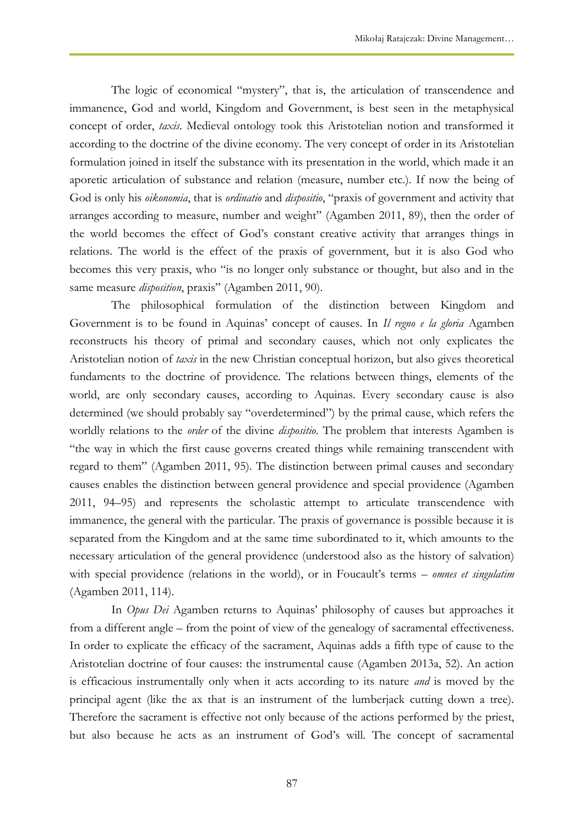The logic of economical "mystery", that is, the articulation of transcendence and immanence, God and world, Kingdom and Government, is best seen in the metaphysical concept of order, *taxis*. Medieval ontology took this Aristotelian notion and transformed it according to the doctrine of the divine economy. The very concept of order in its Aristotelian formulation joined in itself the substance with its presentation in the world, which made it an aporetic articulation of substance and relation (measure, number etc.). If now the being of God is only his *oikonomia*, that is *ordinatio* and *dispositio*, "praxis of government and activity that arranges according to measure, number and weight" (Agamben 2011, 89), then the order of the world becomes the effect of God's constant creative activity that arranges things in relations. The world is the effect of the praxis of government, but it is also God who becomes this very praxis, who "is no longer only substance or thought, but also and in the same measure *disposition*, praxis" (Agamben 2011, 90).

The philosophical formulation of the distinction between Kingdom and Government is to be found in Aquinas' concept of causes. In *Il regno e la gloria* Agamben reconstructs his theory of primal and secondary causes, which not only explicates the Aristotelian notion of *taxis* in the new Christian conceptual horizon, but also gives theoretical fundaments to the doctrine of providence. The relations between things, elements of the world, are only secondary causes, according to Aquinas. Every secondary cause is also determined (we should probably say "overdetermined") by the primal cause, which refers the worldly relations to the *order* of the divine *dispositio*. The problem that interests Agamben is "the way in which the first cause governs created things while remaining transcendent with regard to them" (Agamben 2011, 95). The distinction between primal causes and secondary causes enables the distinction between general providence and special providence (Agamben 2011, 94–95) and represents the scholastic attempt to articulate transcendence with immanence, the general with the particular. The praxis of governance is possible because it is separated from the Kingdom and at the same time subordinated to it, which amounts to the necessary articulation of the general providence (understood also as the history of salvation) with special providence (relations in the world), or in Foucault's terms – *omnes et singulatim* (Agamben 2011, 114).

In *Opus Dei* Agamben returns to Aquinas' philosophy of causes but approaches it from a different angle – from the point of view of the genealogy of sacramental effectiveness. In order to explicate the efficacy of the sacrament, Aquinas adds a fifth type of cause to the Aristotelian doctrine of four causes: the instrumental cause (Agamben 2013a, 52). An action is efficacious instrumentally only when it acts according to its nature *and* is moved by the principal agent (like the ax that is an instrument of the lumberjack cutting down a tree). Therefore the sacrament is effective not only because of the actions performed by the priest, but also because he acts as an instrument of God's will. The concept of sacramental

87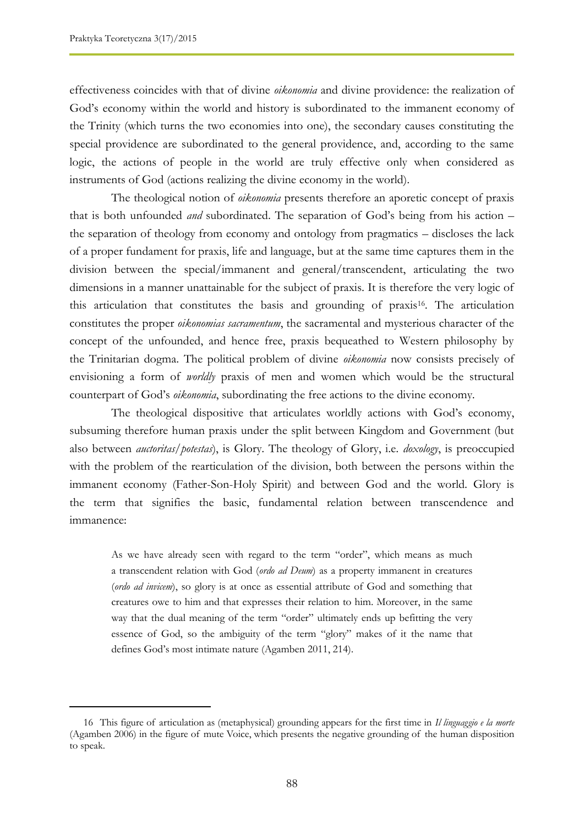effectiveness coincides with that of divine *oikonomia* and divine providence: the realization of God's economy within the world and history is subordinated to the immanent economy of the Trinity (which turns the two economies into one), the secondary causes constituting the special providence are subordinated to the general providence, and, according to the same logic, the actions of people in the world are truly effective only when considered as instruments of God (actions realizing the divine economy in the world).

The theological notion of *oikonomia* presents therefore an aporetic concept of praxis that is both unfounded *and* subordinated. The separation of God's being from his action – the separation of theology from economy and ontology from pragmatics – discloses the lack of a proper fundament for praxis, life and language, but at the same time captures them in the division between the special/immanent and general/transcendent, articulating the two dimensions in a manner unattainable for the subject of praxis. It is therefore the very logic of this articulation that constitutes the basis and grounding of praxis<sup>16</sup>. The articulation constitutes the proper *oikonomias sacramentum*, the sacramental and mysterious character of the concept of the unfounded, and hence free, praxis bequeathed to Western philosophy by the Trinitarian dogma. The political problem of divine *oikonomia* now consists precisely of envisioning a form of *worldly* praxis of men and women which would be the structural counterpart of God's *oikonomia*, subordinating the free actions to the divine economy.

The theological dispositive that articulates worldly actions with God's economy, subsuming therefore human praxis under the split between Kingdom and Government (but also between *auctoritas*/*potestas*), is Glory. The theology of Glory, i.e. *doxology*, is preoccupied with the problem of the rearticulation of the division, both between the persons within the immanent economy (Father-Son-Holy Spirit) and between God and the world. Glory is the term that signifies the basic, fundamental relation between transcendence and immanence:

As we have already seen with regard to the term "order", which means as much a transcendent relation with God (*ordo ad Deum*) as a property immanent in creatures (*ordo ad invicem*), so glory is at once as essential attribute of God and something that creatures owe to him and that expresses their relation to him. Moreover, in the same way that the dual meaning of the term "order" ultimately ends up befitting the very essence of God, so the ambiguity of the term "glory" makes of it the name that defines God's most intimate nature (Agamben 2011, 214).

<sup>16</sup> This figure of articulation as (metaphysical) grounding appears for the first time in *Il linguaggio e la morte* (Agamben 2006) in the figure of mute Voice, which presents the negative grounding of the human disposition to speak.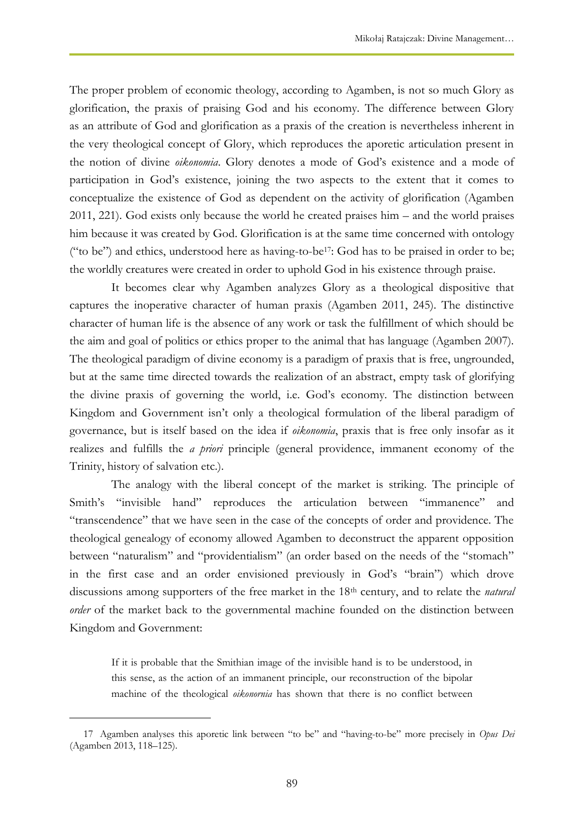The proper problem of economic theology, according to Agamben, is not so much Glory as glorification, the praxis of praising God and his economy. The difference between Glory as an attribute of God and glorification as a praxis of the creation is nevertheless inherent in the very theological concept of Glory, which reproduces the aporetic articulation present in the notion of divine *oikonomia*. Glory denotes a mode of God's existence and a mode of participation in God's existence, joining the two aspects to the extent that it comes to conceptualize the existence of God as dependent on the activity of glorification (Agamben 2011, 221). God exists only because the world he created praises him – and the world praises him because it was created by God. Glorification is at the same time concerned with ontology ("to be") and ethics, understood here as having-to-be17: God has to be praised in order to be; the worldly creatures were created in order to uphold God in his existence through praise.

It becomes clear why Agamben analyzes Glory as a theological dispositive that captures the inoperative character of human praxis (Agamben 2011, 245). The distinctive character of human life is the absence of any work or task the fulfillment of which should be the aim and goal of politics or ethics proper to the animal that has language (Agamben 2007). The theological paradigm of divine economy is a paradigm of praxis that is free, ungrounded, but at the same time directed towards the realization of an abstract, empty task of glorifying the divine praxis of governing the world, i.e. God's economy. The distinction between Kingdom and Government isn't only a theological formulation of the liberal paradigm of governance, but is itself based on the idea if *oikonomia*, praxis that is free only insofar as it realizes and fulfills the *a priori* principle (general providence, immanent economy of the Trinity, history of salvation etc.).

The analogy with the liberal concept of the market is striking. The principle of Smith's "invisible hand" reproduces the articulation between "immanence" and "transcendence" that we have seen in the case of the concepts of order and providence. The theological genealogy of economy allowed Agamben to deconstruct the apparent opposition between "naturalism" and "providentialism" (an order based on the needs of the "stomach" in the first case and an order envisioned previously in God's "brain") which drove discussions among supporters of the free market in the 18th century, and to relate the *natural order* of the market back to the governmental machine founded on the distinction between Kingdom and Government:

If it is probable that the Smithian image of the invisible hand is to be understood, in this sense, as the action of an immanent principle, our reconstruction of the bipolar machine of the theological *oikonornia* has shown that there is no conflict between

 $\overline{a}$ 

<sup>17</sup> Agamben analyses this aporetic link between "to be" and "having-to-be" more precisely in *Opus Dei* (Agamben 2013, 118–125).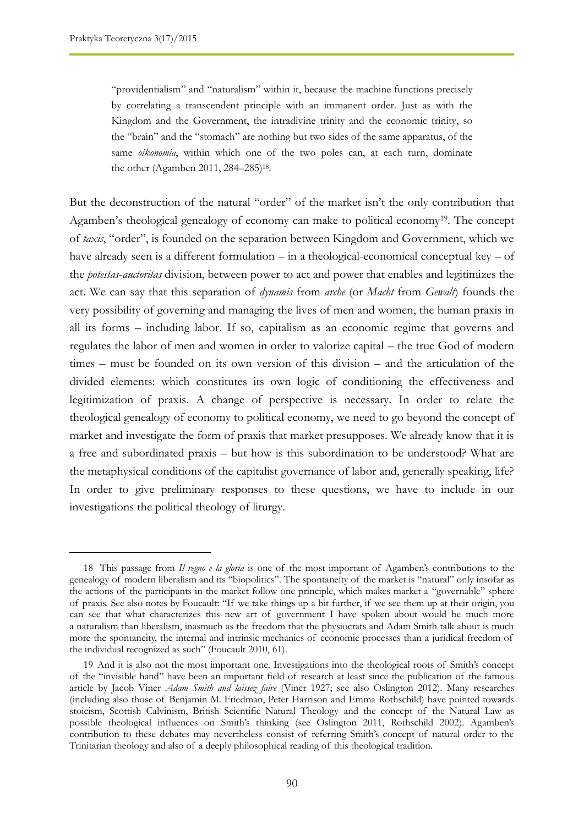"providentialism" and "naturalism" within it, because the machine functions precisely by correlating a transcendent principle with an immanent order. Just as with the Kingdom and the Government, the intradivine trinity and the economic trinity, so the "brain" and the "stomach" are nothing but two sides of the same apparatus, of the same *oikonomia*, within which one of the two poles can, at each turn, dominate the other (Agamben 2011, 284-285)<sup>18</sup>.

But the deconstruction of the natural "order" of the market isn't the only contribution that Agamben's theological genealogy of economy can make to political economy<sup>19</sup>. The concept of *taxis*, "order", is founded on the separation between Kingdom and Government, which we have already seen is a different formulation – in a theological-economical conceptual key – of the *potestas*-*auctoritas* division, between power to act and power that enables and legitimizes the act. We can say that this separation of *dynamis* from *arche* (or *Macht* from *Gewalt*) founds the very possibility of governing and managing the lives of men and women, the human praxis in all its forms – including labor. If so, capitalism as an economic regime that governs and regulates the labor of men and women in order to valorize capital – the true God of modern times – must be founded on its own version of this division – and the articulation of the divided elements: which constitutes its own logic of conditioning the effectiveness and legitimization of praxis. A change of perspective is necessary. In order to relate the theological genealogy of economy to political economy, we need to go beyond the concept of market and investigate the form of praxis that market presupposes. We already know that it is a free and subordinated praxis – but how is this subordination to be understood? What are the metaphysical conditions of the capitalist governance of labor and, generally speaking, life? In order to give preliminary responses to these questions, we have to include in our investigations the political theology of liturgy.

<sup>18</sup> This passage from *Il regno e la gloria* is one of the most important of Agamben's contributions to the genealogy of modern liberalism and its "biopolitics". The spontaneity of the market is "natural" only insofar as the actions of the participants in the market follow one principle, which makes market a "governable" sphere of praxis. See also notes by Foucault: "If we take things up a bit further, if we see them up at their origin, you can see that what characterizes this new art of government I have spoken about would be much more a naturalism than liberalism, inasmuch as the freedom that the physiocrats and Adam Smith talk about is much more the spontaneity, the internal and intrinsic mechanics of economic processes than a juridical freedom of the individual recognized as such" (Foucault 2010, 61).

<sup>19</sup> And it is also not the most important one. Investigations into the theological roots of Smith's concept of the "invisible hand" have been an important field of research at least since the publication of the famous article by Jacob Viner *Adam Smith and laissez faire* (Viner 1927; see also Oslington 2012). Many researches (including also those of Benjamin M. Friedman, Peter Harrison and Emma Rothschild) have pointed towards stoicism, Scottish Calvinism, British Scientific Natural Theology and the concept of the Natural Law as possible theological influences on Smith's thinking (see Oslington 2011, Rothschild 2002). Agamben's contribution to these debates may nevertheless consist of referring Smith's concept of natural order to the Trinitarian theology and also of a deeply philosophical reading of this theological tradition.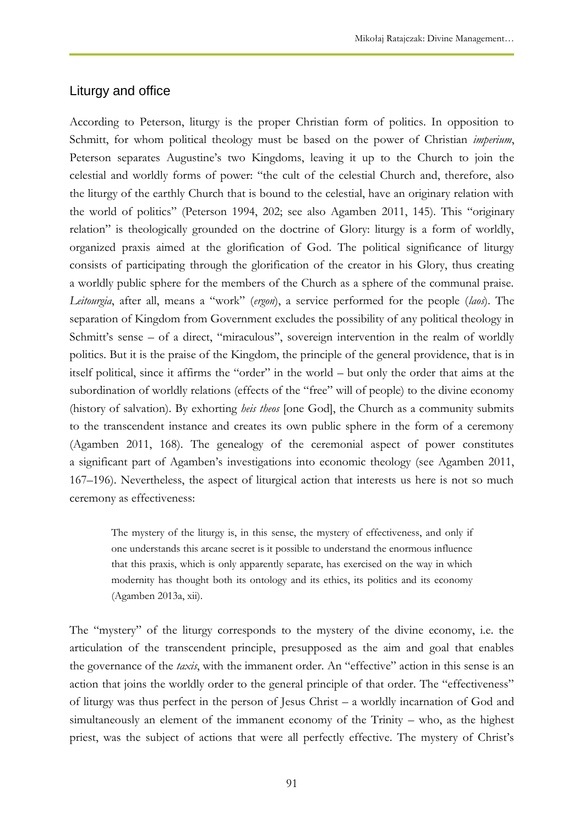### Liturgy and office

According to Peterson, liturgy is the proper Christian form of politics. In opposition to Schmitt, for whom political theology must be based on the power of Christian *imperium*, Peterson separates Augustine's two Kingdoms, leaving it up to the Church to join the celestial and worldly forms of power: "the cult of the celestial Church and, therefore, also the liturgy of the earthly Church that is bound to the celestial, have an originary relation with the world of politics" (Peterson 1994, 202; see also Agamben 2011, 145). This "originary relation" is theologically grounded on the doctrine of Glory: liturgy is a form of worldly, organized praxis aimed at the glorification of God. The political significance of liturgy consists of participating through the glorification of the creator in his Glory, thus creating a worldly public sphere for the members of the Church as a sphere of the communal praise. *Leitourgia*, after all, means a "work" (*ergon*), a service performed for the people (*laos*). The separation of Kingdom from Government excludes the possibility of any political theology in Schmitt's sense – of a direct, "miraculous", sovereign intervention in the realm of worldly politics. But it is the praise of the Kingdom, the principle of the general providence, that is in itself political, since it affirms the "order" in the world – but only the order that aims at the subordination of worldly relations (effects of the "free" will of people) to the divine economy (history of salvation). By exhorting *heis theos* [one God], the Church as a community submits to the transcendent instance and creates its own public sphere in the form of a ceremony (Agamben 2011, 168). The genealogy of the ceremonial aspect of power constitutes a significant part of Agamben's investigations into economic theology (see Agamben 2011, 167–196). Nevertheless, the aspect of liturgical action that interests us here is not so much ceremony as effectiveness:

The mystery of the liturgy is, in this sense, the mystery of effectiveness, and only if one understands this arcane secret is it possible to understand the enormous influence that this praxis, which is only apparently separate, has exercised on the way in which modernity has thought both its ontology and its ethics, its politics and its economy (Agamben 2013a, xii).

The "mystery" of the liturgy corresponds to the mystery of the divine economy, i.e. the articulation of the transcendent principle, presupposed as the aim and goal that enables the governance of the *taxis*, with the immanent order. An "effective" action in this sense is an action that joins the worldly order to the general principle of that order. The "effectiveness" of liturgy was thus perfect in the person of Jesus Christ – a worldly incarnation of God and simultaneously an element of the immanent economy of the Trinity – who, as the highest priest, was the subject of actions that were all perfectly effective. The mystery of Christ's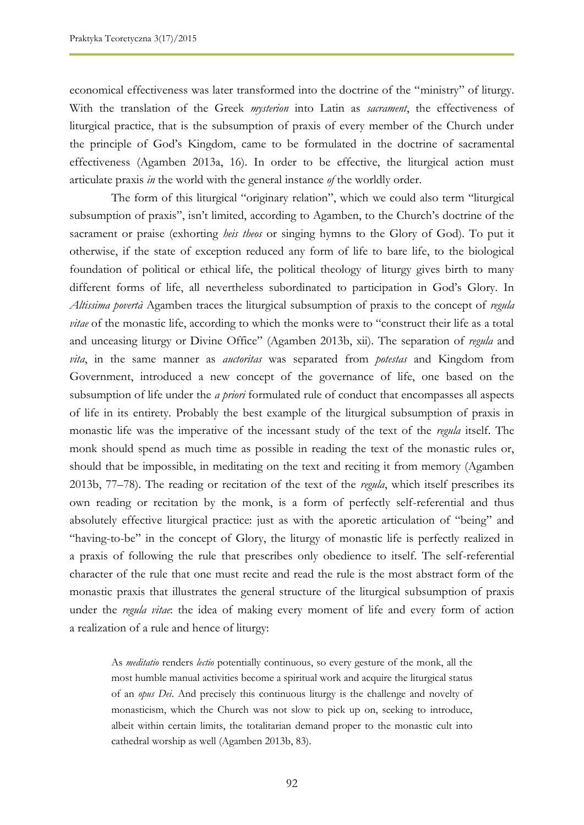economical effectiveness was later transformed into the doctrine of the "ministry" of liturgy. With the translation of the Greek *mysterion* into Latin as *sacrament*, the effectiveness of liturgical practice, that is the subsumption of praxis of every member of the Church under the principle of God's Kingdom, came to be formulated in the doctrine of sacramental effectiveness (Agamben 2013a, 16). In order to be effective, the liturgical action must articulate praxis *in* the world with the general instance *of* the worldly order.

The form of this liturgical "originary relation", which we could also term "liturgical subsumption of praxis", isn't limited, according to Agamben, to the Church's doctrine of the sacrament or praise (exhorting *heis theos* or singing hymns to the Glory of God). To put it otherwise, if the state of exception reduced any form of life to bare life, to the biological foundation of political or ethical life, the political theology of liturgy gives birth to many different forms of life, all nevertheless subordinated to participation in God's Glory. In *Altissima povertà* Agamben traces the liturgical subsumption of praxis to the concept of *regula vitae* of the monastic life, according to which the monks were to "construct their life as a total and unceasing liturgy or Divine Office" (Agamben 2013b, xii). The separation of *regula* and *vita*, in the same manner as *auctoritas* was separated from *potestas* and Kingdom from Government, introduced a new concept of the governance of life, one based on the subsumption of life under the *a priori* formulated rule of conduct that encompasses all aspects of life in its entirety. Probably the best example of the liturgical subsumption of praxis in monastic life was the imperative of the incessant study of the text of the *regula* itself. The monk should spend as much time as possible in reading the text of the monastic rules or, should that be impossible, in meditating on the text and reciting it from memory (Agamben 2013b, 77–78). The reading or recitation of the text of the *regula*, which itself prescribes its own reading or recitation by the monk, is a form of perfectly self-referential and thus absolutely effective liturgical practice: just as with the aporetic articulation of "being" and "having-to-be" in the concept of Glory, the liturgy of monastic life is perfectly realized in a praxis of following the rule that prescribes only obedience to itself. The self-referential character of the rule that one must recite and read the rule is the most abstract form of the monastic praxis that illustrates the general structure of the liturgical subsumption of praxis under the *regula vitae*: the idea of making every moment of life and every form of action a realization of a rule and hence of liturgy:

As *meditatio* renders *lectio* potentially continuous, so every gesture of the monk, all the most humble manual activities become a spiritual work and acquire the liturgical status of an *opus Dei*. And precisely this continuous liturgy is the challenge and novelty of monasticism, which the Church was not slow to pick up on, seeking to introduce, albeit within certain limits, the totalitarian demand proper to the monastic cult into cathedral worship as well (Agamben 2013b, 83).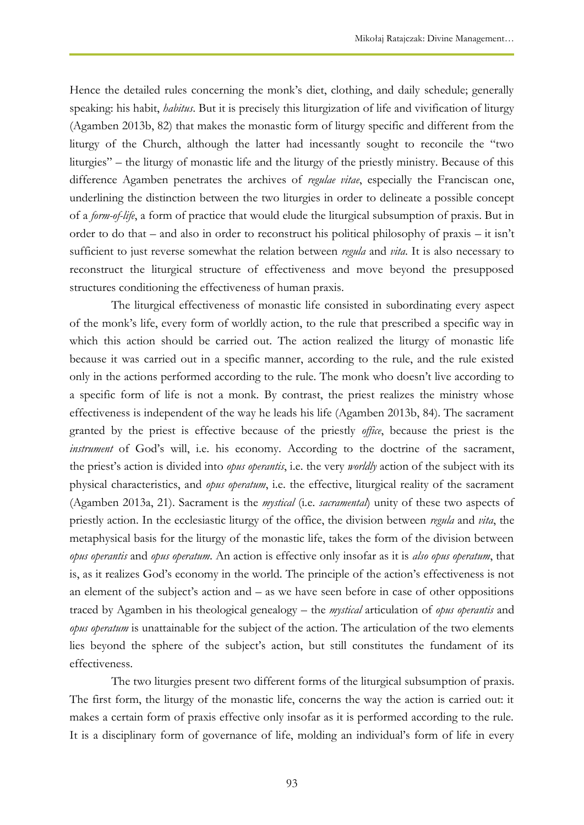Hence the detailed rules concerning the monk's diet, clothing, and daily schedule; generally speaking: his habit, *habitus*. But it is precisely this liturgization of life and vivification of liturgy (Agamben 2013b, 82) that makes the monastic form of liturgy specific and different from the liturgy of the Church, although the latter had incessantly sought to reconcile the "two liturgies" – the liturgy of monastic life and the liturgy of the priestly ministry. Because of this difference Agamben penetrates the archives of *regulae vitae*, especially the Franciscan one, underlining the distinction between the two liturgies in order to delineate a possible concept of a *form-of-life*, a form of practice that would elude the liturgical subsumption of praxis. But in order to do that – and also in order to reconstruct his political philosophy of praxis – it isn't sufficient to just reverse somewhat the relation between *regula* and *vita*. It is also necessary to reconstruct the liturgical structure of effectiveness and move beyond the presupposed structures conditioning the effectiveness of human praxis.

The liturgical effectiveness of monastic life consisted in subordinating every aspect of the monk's life, every form of worldly action, to the rule that prescribed a specific way in which this action should be carried out. The action realized the liturgy of monastic life because it was carried out in a specific manner, according to the rule, and the rule existed only in the actions performed according to the rule. The monk who doesn't live according to a specific form of life is not a monk. By contrast, the priest realizes the ministry whose effectiveness is independent of the way he leads his life (Agamben 2013b, 84). The sacrament granted by the priest is effective because of the priestly *office*, because the priest is the *instrument* of God's will, i.e. his economy. According to the doctrine of the sacrament, the priest's action is divided into *opus operantis*, i.e. the very *worldly* action of the subject with its physical characteristics, and *opus operatum*, i.e. the effective, liturgical reality of the sacrament (Agamben 2013a, 21). Sacrament is the *mystical* (i.e. *sacramental*) unity of these two aspects of priestly action. In the ecclesiastic liturgy of the office, the division between *regula* and *vita*, the metaphysical basis for the liturgy of the monastic life, takes the form of the division between *opus operantis* and *opus operatum*. An action is effective only insofar as it is *also opus operatum*, that is, as it realizes God's economy in the world. The principle of the action's effectiveness is not an element of the subject's action and – as we have seen before in case of other oppositions traced by Agamben in his theological genealogy – the *mystical* articulation of *opus operantis* and *opus operatum* is unattainable for the subject of the action. The articulation of the two elements lies beyond the sphere of the subject's action, but still constitutes the fundament of its effectiveness.

The two liturgies present two different forms of the liturgical subsumption of praxis. The first form, the liturgy of the monastic life, concerns the way the action is carried out: it makes a certain form of praxis effective only insofar as it is performed according to the rule. It is a disciplinary form of governance of life, molding an individual's form of life in every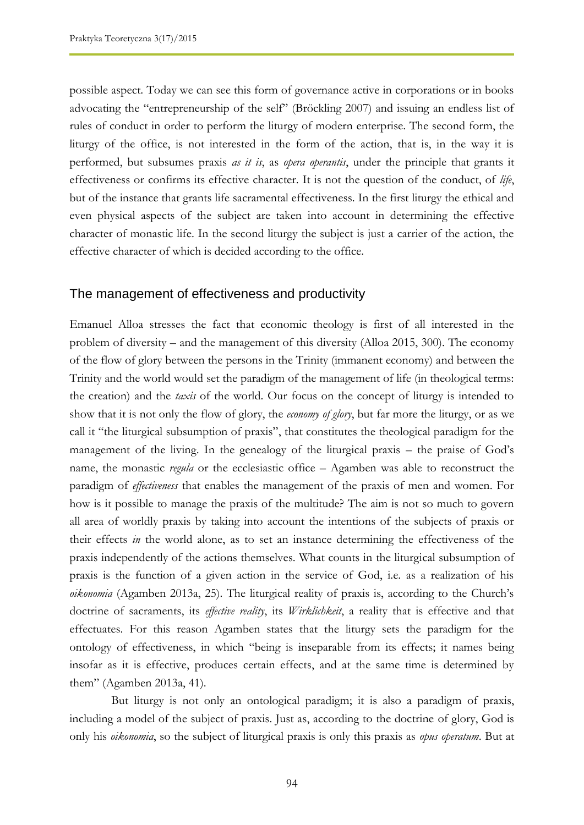possible aspect. Today we can see this form of governance active in corporations or in books advocating the "entrepreneurship of the self" (Bröckling 2007) and issuing an endless list of rules of conduct in order to perform the liturgy of modern enterprise. The second form, the liturgy of the office, is not interested in the form of the action, that is, in the way it is performed, but subsumes praxis *as it is*, as *opera operantis*, under the principle that grants it effectiveness or confirms its effective character. It is not the question of the conduct, of *life*, but of the instance that grants life sacramental effectiveness. In the first liturgy the ethical and even physical aspects of the subject are taken into account in determining the effective character of monastic life. In the second liturgy the subject is just a carrier of the action, the effective character of which is decided according to the office.

#### The management of effectiveness and productivity

Emanuel Alloa stresses the fact that economic theology is first of all interested in the problem of diversity – and the management of this diversity (Alloa 2015, 300). The economy of the flow of glory between the persons in the Trinity (immanent economy) and between the Trinity and the world would set the paradigm of the management of life (in theological terms: the creation) and the *taxis* of the world. Our focus on the concept of liturgy is intended to show that it is not only the flow of glory, the *economy of glory*, but far more the liturgy, or as we call it "the liturgical subsumption of praxis", that constitutes the theological paradigm for the management of the living. In the genealogy of the liturgical praxis – the praise of God's name, the monastic *regula* or the ecclesiastic office – Agamben was able to reconstruct the paradigm of *effectiveness* that enables the management of the praxis of men and women. For how is it possible to manage the praxis of the multitude? The aim is not so much to govern all area of worldly praxis by taking into account the intentions of the subjects of praxis or their effects *in* the world alone, as to set an instance determining the effectiveness of the praxis independently of the actions themselves. What counts in the liturgical subsumption of praxis is the function of a given action in the service of God, i.e. as a realization of his *oikonomia* (Agamben 2013a, 25). The liturgical reality of praxis is, according to the Church's doctrine of sacraments, its *effective reality*, its *Wirklichkeit*, a reality that is effective and that effectuates. For this reason Agamben states that the liturgy sets the paradigm for the ontology of effectiveness, in which "being is inseparable from its effects; it names being insofar as it is effective, produces certain effects, and at the same time is determined by them" (Agamben 2013a, 41).

But liturgy is not only an ontological paradigm; it is also a paradigm of praxis, including a model of the subject of praxis. Just as, according to the doctrine of glory, God is only his *oikonomia*, so the subject of liturgical praxis is only this praxis as *opus operatum*. But at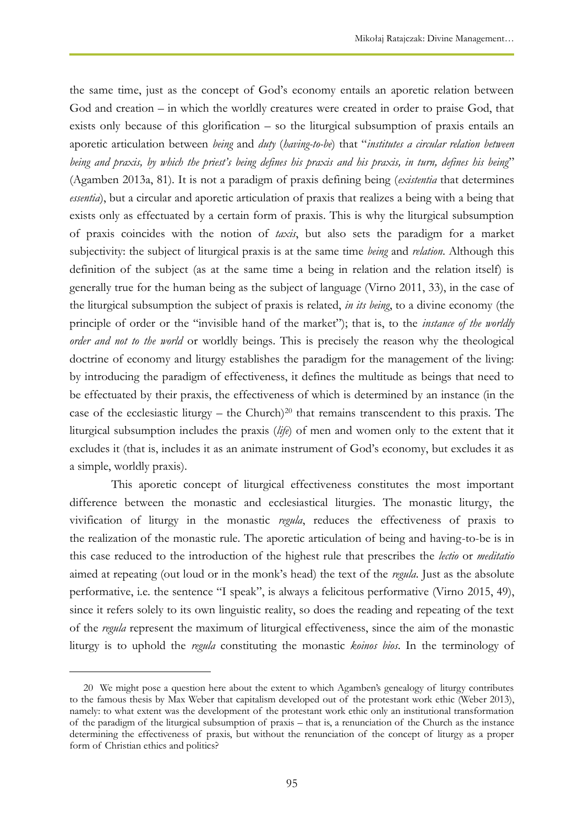the same time, just as the concept of God's economy entails an aporetic relation between God and creation – in which the worldly creatures were created in order to praise God, that exists only because of this glorification – so the liturgical subsumption of praxis entails an aporetic articulation between *being* and *duty* (*having-to-be*) that "*institutes a circular relation between being and praxis, by which the priest's being defines his praxis and his praxis, in turn, defines his being*" (Agamben 2013a, 81). It is not a paradigm of praxis defining being (*existentia* that determines *essentia*), but a circular and aporetic articulation of praxis that realizes a being with a being that exists only as effectuated by a certain form of praxis. This is why the liturgical subsumption of praxis coincides with the notion of *taxis*, but also sets the paradigm for a market subjectivity: the subject of liturgical praxis is at the same time *being* and *relation*. Although this definition of the subject (as at the same time a being in relation and the relation itself) is generally true for the human being as the subject of language (Virno 2011, 33), in the case of the liturgical subsumption the subject of praxis is related, *in its being*, to a divine economy (the principle of order or the "invisible hand of the market"); that is, to the *instance of the worldly order and not to the world* or worldly beings. This is precisely the reason why the theological doctrine of economy and liturgy establishes the paradigm for the management of the living: by introducing the paradigm of effectiveness, it defines the multitude as beings that need to be effectuated by their praxis, the effectiveness of which is determined by an instance (in the case of the ecclesiastic liturgy – the Church)<sup>20</sup> that remains transcendent to this praxis. The liturgical subsumption includes the praxis (*life*) of men and women only to the extent that it excludes it (that is, includes it as an animate instrument of God's economy, but excludes it as a simple, worldly praxis).

This aporetic concept of liturgical effectiveness constitutes the most important difference between the monastic and ecclesiastical liturgies. The monastic liturgy, the vivification of liturgy in the monastic *regula*, reduces the effectiveness of praxis to the realization of the monastic rule. The aporetic articulation of being and having-to-be is in this case reduced to the introduction of the highest rule that prescribes the *lectio* or *meditatio*  aimed at repeating (out loud or in the monk's head) the text of the *regula*. Just as the absolute performative, i.e. the sentence "I speak", is always a felicitous performative (Virno 2015, 49), since it refers solely to its own linguistic reality, so does the reading and repeating of the text of the *regula* represent the maximum of liturgical effectiveness, since the aim of the monastic liturgy is to uphold the *regula* constituting the monastic *koinos bios*. In the terminology of

 $\overline{a}$ 

<sup>20</sup> We might pose a question here about the extent to which Agamben's genealogy of liturgy contributes to the famous thesis by Max Weber that capitalism developed out of the protestant work ethic (Weber 2013), namely: to what extent was the development of the protestant work ethic only an institutional transformation of the paradigm of the liturgical subsumption of praxis – that is, a renunciation of the Church as the instance determining the effectiveness of praxis, but without the renunciation of the concept of liturgy as a proper form of Christian ethics and politics?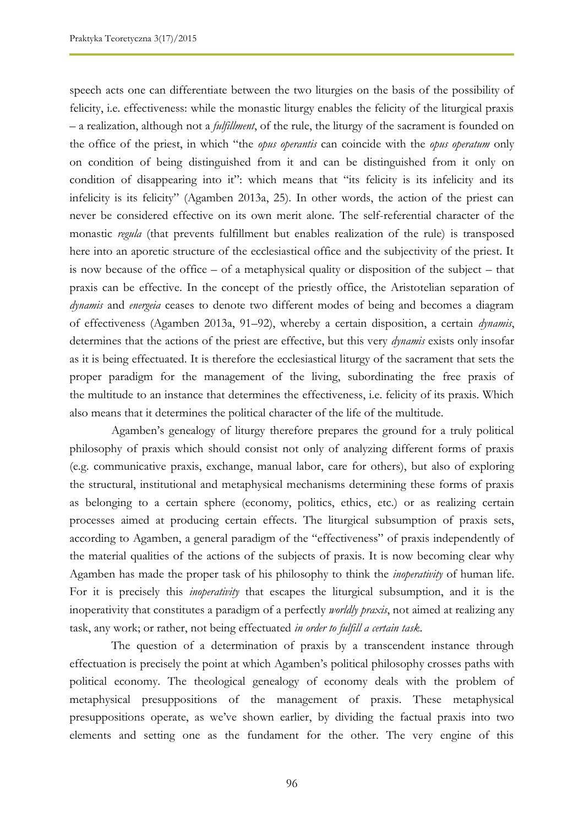speech acts one can differentiate between the two liturgies on the basis of the possibility of felicity, i.e. effectiveness: while the monastic liturgy enables the felicity of the liturgical praxis – a realization, although not a *fulfillment*, of the rule, the liturgy of the sacrament is founded on the office of the priest, in which "the *opus operantis* can coincide with the *opus operatum* only on condition of being distinguished from it and can be distinguished from it only on condition of disappearing into it": which means that "its felicity is its infelicity and its infelicity is its felicity" (Agamben 2013a, 25). In other words, the action of the priest can never be considered effective on its own merit alone. The self-referential character of the monastic *regula* (that prevents fulfillment but enables realization of the rule) is transposed here into an aporetic structure of the ecclesiastical office and the subjectivity of the priest. It is now because of the office – of a metaphysical quality or disposition of the subject – that praxis can be effective. In the concept of the priestly office, the Aristotelian separation of *dynamis* and *energeia* ceases to denote two different modes of being and becomes a diagram of effectiveness (Agamben 2013a, 91–92), whereby a certain disposition, a certain *dynamis*, determines that the actions of the priest are effective, but this very *dynamis* exists only insofar as it is being effectuated. It is therefore the ecclesiastical liturgy of the sacrament that sets the proper paradigm for the management of the living, subordinating the free praxis of the multitude to an instance that determines the effectiveness, i.e. felicity of its praxis. Which also means that it determines the political character of the life of the multitude.

Agamben's genealogy of liturgy therefore prepares the ground for a truly political philosophy of praxis which should consist not only of analyzing different forms of praxis (e.g. communicative praxis, exchange, manual labor, care for others), but also of exploring the structural, institutional and metaphysical mechanisms determining these forms of praxis as belonging to a certain sphere (economy, politics, ethics, etc.) or as realizing certain processes aimed at producing certain effects. The liturgical subsumption of praxis sets, according to Agamben, a general paradigm of the "effectiveness" of praxis independently of the material qualities of the actions of the subjects of praxis. It is now becoming clear why Agamben has made the proper task of his philosophy to think the *inoperativity* of human life. For it is precisely this *inoperativity* that escapes the liturgical subsumption, and it is the inoperativity that constitutes a paradigm of a perfectly *worldly praxis*, not aimed at realizing any task, any work; or rather, not being effectuated *in order to fulfill a certain task*.

The question of a determination of praxis by a transcendent instance through effectuation is precisely the point at which Agamben's political philosophy crosses paths with political economy. The theological genealogy of economy deals with the problem of metaphysical presuppositions of the management of praxis. These metaphysical presuppositions operate, as we've shown earlier, by dividing the factual praxis into two elements and setting one as the fundament for the other. The very engine of this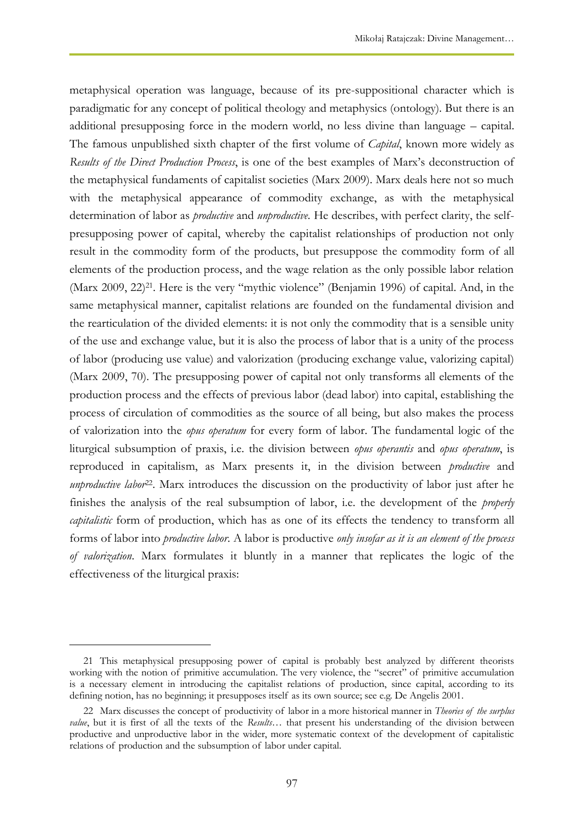metaphysical operation was language, because of its pre-suppositional character which is paradigmatic for any concept of political theology and metaphysics (ontology). But there is an additional presupposing force in the modern world, no less divine than language – capital. The famous unpublished sixth chapter of the first volume of *Capital*, known more widely as *Results of the Direct Production Process*, is one of the best examples of Marx's deconstruction of the metaphysical fundaments of capitalist societies (Marx 2009). Marx deals here not so much with the metaphysical appearance of commodity exchange, as with the metaphysical determination of labor as *productive* and *unproductive.* He describes, with perfect clarity, the selfpresupposing power of capital, whereby the capitalist relationships of production not only result in the commodity form of the products, but presuppose the commodity form of all elements of the production process, and the wage relation as the only possible labor relation (Marx 2009, 22)<sup>21</sup>. Here is the very "mythic violence" (Benjamin 1996) of capital. And, in the same metaphysical manner, capitalist relations are founded on the fundamental division and the rearticulation of the divided elements: it is not only the commodity that is a sensible unity of the use and exchange value, but it is also the process of labor that is a unity of the process of labor (producing use value) and valorization (producing exchange value, valorizing capital) (Marx 2009, 70). The presupposing power of capital not only transforms all elements of the production process and the effects of previous labor (dead labor) into capital, establishing the process of circulation of commodities as the source of all being, but also makes the process of valorization into the *opus operatum* for every form of labor. The fundamental logic of the liturgical subsumption of praxis, i.e. the division between *opus operantis* and *opus operatum*, is reproduced in capitalism, as Marx presents it, in the division between *productive* and *unproductive labor*<sup>22</sup>. Marx introduces the discussion on the productivity of labor just after he finishes the analysis of the real subsumption of labor, i.e. the development of the *properly capitalistic* form of production, which has as one of its effects the tendency to transform all forms of labor into *productive labor*. A labor is productive *only insofar as it is an element of the process of valorization*. Marx formulates it bluntly in a manner that replicates the logic of the effectiveness of the liturgical praxis:

 $\overline{a}$ 

<sup>21</sup> This metaphysical presupposing power of capital is probably best analyzed by different theorists working with the notion of primitive accumulation. The very violence, the "secret" of primitive accumulation is a necessary element in introducing the capitalist relations of production, since capital, according to its defining notion, has no beginning; it presupposes itself as its own source; see e.g. De Angelis 2001.

<sup>22</sup> Marx discusses the concept of productivity of labor in a more historical manner in *Theories of the surplus value*, but it is first of all the texts of the *Results…* that present his understanding of the division between productive and unproductive labor in the wider, more systematic context of the development of capitalistic relations of production and the subsumption of labor under capital.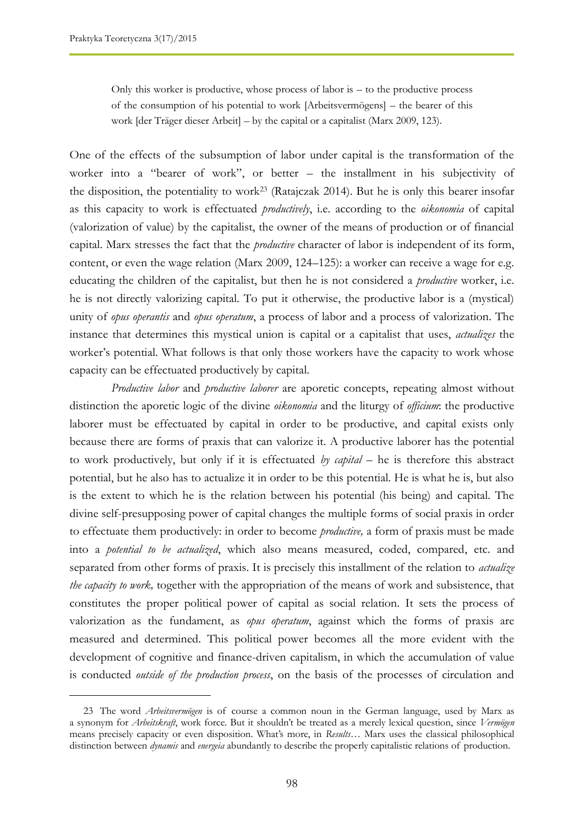Only this worker is productive, whose process of labor is – to the productive process of the consumption of his potential to work [Arbeitsvermögens] – the bearer of this work [der Träger dieser Arbeit] – by the capital or a capitalist (Marx 2009, 123).

One of the effects of the subsumption of labor under capital is the transformation of the worker into a "bearer of work", or better – the installment in his subjectivity of the disposition, the potentiality to work<sup>23</sup> (Ratajczak 2014). But he is only this bearer insofar as this capacity to work is effectuated *productively*, i.e. according to the *oikonomia* of capital (valorization of value) by the capitalist, the owner of the means of production or of financial capital. Marx stresses the fact that the *productive* character of labor is independent of its form, content, or even the wage relation (Marx 2009, 124–125): a worker can receive a wage for e.g. educating the children of the capitalist, but then he is not considered a *productive* worker, i.e. he is not directly valorizing capital. To put it otherwise, the productive labor is a (mystical) unity of *opus operantis* and *opus operatum*, a process of labor and a process of valorization. The instance that determines this mystical union is capital or a capitalist that uses, *actualizes* the worker's potential. What follows is that only those workers have the capacity to work whose capacity can be effectuated productively by capital.

*Productive labor* and *productive laborer* are aporetic concepts, repeating almost without distinction the aporetic logic of the divine *oikonomia* and the liturgy of *officium*: the productive laborer must be effectuated by capital in order to be productive, and capital exists only because there are forms of praxis that can valorize it. A productive laborer has the potential to work productively, but only if it is effectuated *by capital* – he is therefore this abstract potential, but he also has to actualize it in order to be this potential. He is what he is, but also is the extent to which he is the relation between his potential (his being) and capital. The divine self-presupposing power of capital changes the multiple forms of social praxis in order to effectuate them productively: in order to become *productive,* a form of praxis must be made into a *potential to be actualized*, which also means measured, coded, compared, etc. and separated from other forms of praxis. It is precisely this installment of the relation to *actualize the capacity to work,* together with the appropriation of the means of work and subsistence, that constitutes the proper political power of capital as social relation. It sets the process of valorization as the fundament, as *opus operatum*, against which the forms of praxis are measured and determined. This political power becomes all the more evident with the development of cognitive and finance-driven capitalism, in which the accumulation of value is conducted *outside of the production process*, on the basis of the processes of circulation and

<sup>23</sup> The word *Arbeitsvermögen* is of course a common noun in the German language, used by Marx as a synonym for *Arbeitskraft*, work force. But it shouldn't be treated as a merely lexical question, since *Vermögen* means precisely capacity or even disposition. What's more, in *Results…* Marx uses the classical philosophical distinction between *dynamis* and *energeia* abundantly to describe the properly capitalistic relations of production.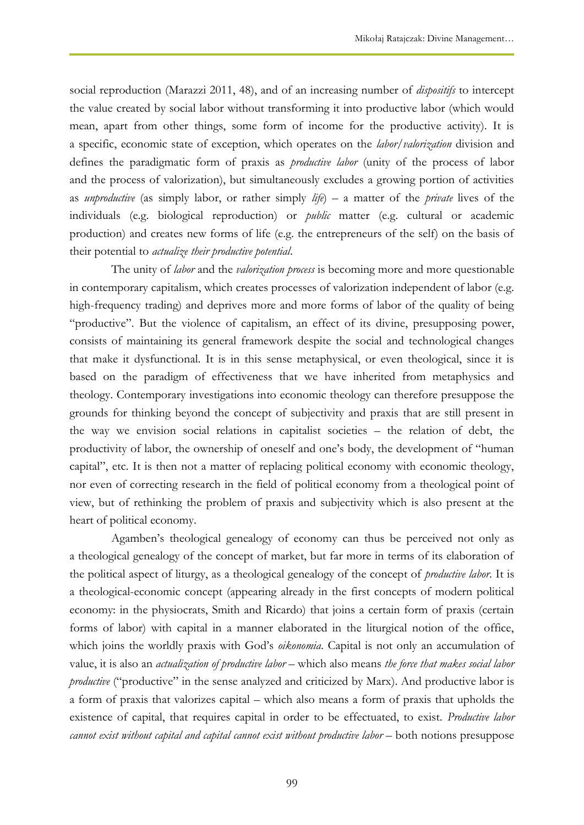social reproduction (Marazzi 2011, 48), and of an increasing number of *dispositifs* to intercept the value created by social labor without transforming it into productive labor (which would mean, apart from other things, some form of income for the productive activity). It is a specific, economic state of exception, which operates on the *labor*/*valorization* division and defines the paradigmatic form of praxis as *productive labor* (unity of the process of labor and the process of valorization), but simultaneously excludes a growing portion of activities as *unproductive* (as simply labor, or rather simply *life*) – a matter of the *private* lives of the individuals (e.g. biological reproduction) or *public* matter (e.g. cultural or academic production) and creates new forms of life (e.g. the entrepreneurs of the self) on the basis of their potential to *actualize their productive potential*.

The unity of *labor* and the *valorization process* is becoming more and more questionable in contemporary capitalism, which creates processes of valorization independent of labor (e.g. high-frequency trading) and deprives more and more forms of labor of the quality of being "productive". But the violence of capitalism, an effect of its divine, presupposing power, consists of maintaining its general framework despite the social and technological changes that make it dysfunctional. It is in this sense metaphysical, or even theological, since it is based on the paradigm of effectiveness that we have inherited from metaphysics and theology. Contemporary investigations into economic theology can therefore presuppose the grounds for thinking beyond the concept of subjectivity and praxis that are still present in the way we envision social relations in capitalist societies – the relation of debt, the productivity of labor, the ownership of oneself and one's body, the development of "human capital", etc. It is then not a matter of replacing political economy with economic theology, nor even of correcting research in the field of political economy from a theological point of view, but of rethinking the problem of praxis and subjectivity which is also present at the heart of political economy.

Agamben's theological genealogy of economy can thus be perceived not only as a theological genealogy of the concept of market, but far more in terms of its elaboration of the political aspect of liturgy, as a theological genealogy of the concept of *productive labor*. It is a theological-economic concept (appearing already in the first concepts of modern political economy: in the physiocrats, Smith and Ricardo) that joins a certain form of praxis (certain forms of labor) with capital in a manner elaborated in the liturgical notion of the office, which joins the worldly praxis with God's *oikonomia*. Capital is not only an accumulation of value, it is also an *actualization of productive labor* – which also means *the force that makes social labor productive* ("productive" in the sense analyzed and criticized by Marx). And productive labor is a form of praxis that valorizes capital – which also means a form of praxis that upholds the existence of capital, that requires capital in order to be effectuated, to exist. *Productive labor cannot exist without capital and capital cannot exist without productive labor* – both notions presuppose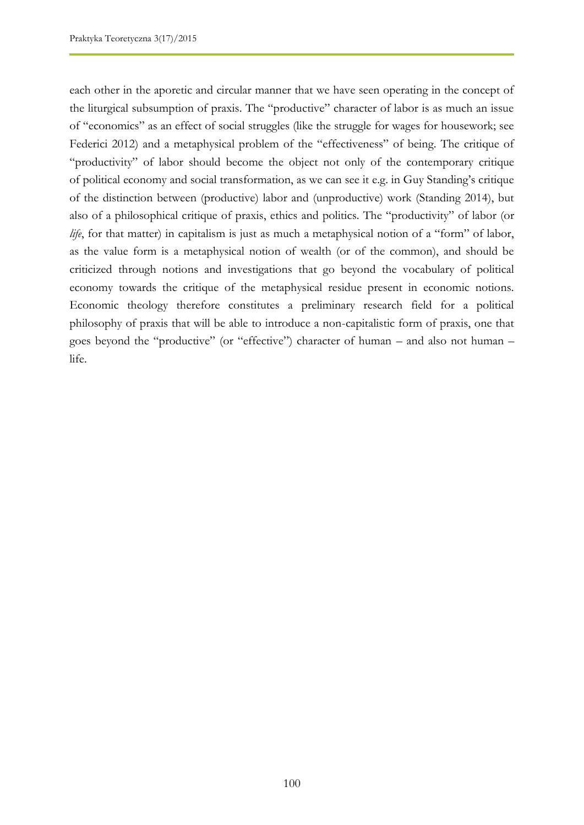each other in the aporetic and circular manner that we have seen operating in the concept of the liturgical subsumption of praxis. The "productive" character of labor is as much an issue of "economics" as an effect of social struggles (like the struggle for wages for housework; see Federici 2012) and a metaphysical problem of the "effectiveness" of being. The critique of "productivity" of labor should become the object not only of the contemporary critique of political economy and social transformation, as we can see it e.g. in Guy Standing's critique of the distinction between (productive) labor and (unproductive) work (Standing 2014), but also of a philosophical critique of praxis, ethics and politics. The "productivity" of labor (or *life*, for that matter) in capitalism is just as much a metaphysical notion of a "form" of labor, as the value form is a metaphysical notion of wealth (or of the common), and should be criticized through notions and investigations that go beyond the vocabulary of political economy towards the critique of the metaphysical residue present in economic notions. Economic theology therefore constitutes a preliminary research field for a political philosophy of praxis that will be able to introduce a non-capitalistic form of praxis, one that goes beyond the "productive" (or "effective") character of human – and also not human – life.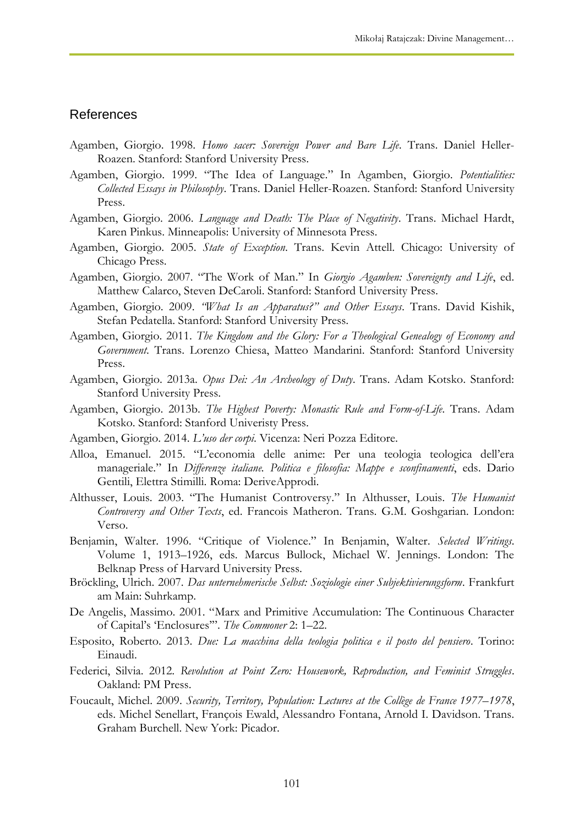#### References

- Agamben, Giorgio. 1998. *Homo sacer: Sovereign Power and Bare Life*. Trans. Daniel Heller-Roazen. Stanford: Stanford University Press.
- Agamben, Giorgio. 1999. "The Idea of Language." In Agamben, Giorgio. *Potentialities: Collected Essays in Philosophy*. Trans. Daniel Heller-Roazen. Stanford: Stanford University Press.
- Agamben, Giorgio. 2006. *Language and Death: The Place of Negativity*. Trans. Michael Hardt, Karen Pinkus. Minneapolis: University of Minnesota Press.
- Agamben, Giorgio. 2005. *State of Exception*. Trans. Kevin Attell. Chicago: University of Chicago Press.
- Agamben, Giorgio. 2007. "The Work of Man." In *Giorgio Agamben: Sovereignty and Life*, ed. Matthew Calarco, Steven DeCaroli. Stanford: Stanford University Press.
- Agamben, Giorgio. 2009. *"What Is an Apparatus?" and Other Essays*. Trans. David Kishik, Stefan Pedatella. Stanford: Stanford University Press.
- Agamben, Giorgio. 2011. *The Kingdom and the Glory: For a Theological Genealogy of Economy and Government*. Trans. Lorenzo Chiesa, Matteo Mandarini. Stanford: Stanford University Press.
- Agamben, Giorgio. 2013a. *Opus Dei: An Archeology of Duty*. Trans. Adam Kotsko. Stanford: Stanford University Press.
- Agamben, Giorgio. 2013b. *The Highest Poverty: Monastic Rule and Form-of-Life*. Trans. Adam Kotsko. Stanford: Stanford Univeristy Press.
- Agamben, Giorgio. 2014. *L'uso der corpi*. Vicenza: Neri Pozza Editore.
- Alloa, Emanuel. 2015. "L'economia delle anime: Per una teologia teologica dell'era manageriale." In *Differenze italiane. Politica e filosofia: Mappe e sconfinamenti*, eds. Dario Gentili, Elettra Stimilli. Roma: DeriveApprodi.
- Althusser, Louis. 2003. "The Humanist Controversy." In Althusser, Louis. *The Humanist Controversy and Other Texts*, ed. Francois Matheron. Trans. G.M. Goshgarian. London: Verso.
- Benjamin, Walter. 1996. "Critique of Violence." In Benjamin, Walter. *Selected Writings*. Volume 1, 1913–1926, eds. Marcus Bullock, Michael W. Jennings. London: The Belknap Press of Harvard University Press.
- Bröckling, Ulrich. 2007. *Das unternehmerische Selbst: Soziologie einer Subjektivierungsform*. Frankfurt am Main: Suhrkamp.
- De Angelis, Massimo. 2001. "Marx and Primitive Accumulation: The Continuous Character of Capital's 'Enclosures'". *The Commoner* 2: 1–22.
- Esposito, Roberto. 2013. *Due: La macchina della teologia politica e il posto del pensiero*. Torino: Einaudi.
- Federici, Silvia. 2012. *Revolution at Point Zero: Housework, Reproduction, and Feminist Struggles*. Oakland: PM Press.
- Foucault, Michel. 2009. *Security, Territory, Population: Lectures at the Collège de France 1977–1978*, eds. Michel Senellart, François Ewald, Alessandro Fontana, Arnold I. Davidson. Trans. Graham Burchell. New York: Picador.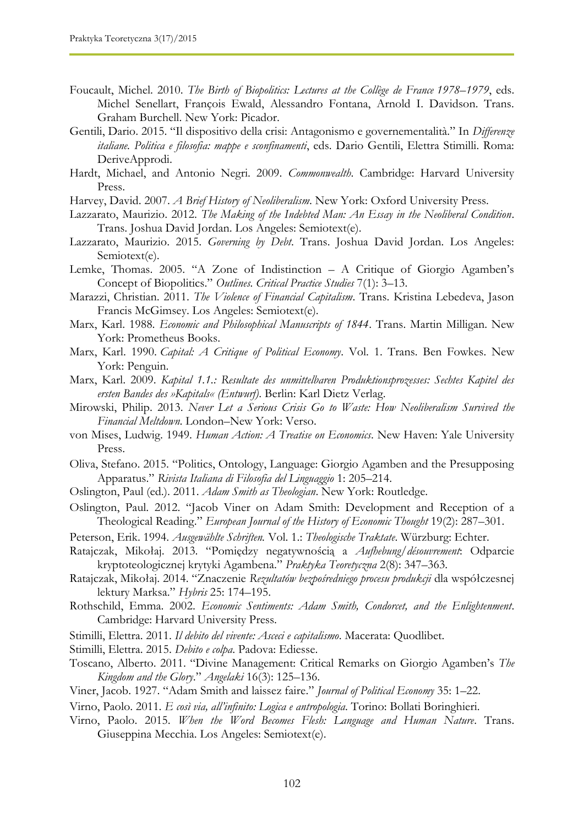- Foucault, Michel. 2010. *The Birth of Biopolitics: Lectures at the Collège de France 1978–1979*, eds. Michel Senellart, François Ewald, Alessandro Fontana, Arnold I. Davidson. Trans. Graham Burchell. New York: Picador.
- Gentili, Dario. 2015. "Il dispositivo della crisi: Antagonismo e governementalità." In *Differenze italiane. Politica e filosofia: mappe e sconfinamenti*, eds. Dario Gentili, Elettra Stimilli. Roma: DeriveApprodi.
- Hardt, Michael, and Antonio Negri. 2009. *Commonwealth*. Cambridge: Harvard University Press.
- Harvey, David. 2007. *A Brief History of Neoliberalism*. New York: Oxford University Press.
- Lazzarato, Maurizio. 2012. *The Making of the Indebted Man: An Essay in the Neoliberal Condition*. Trans. Joshua David Jordan. Los Angeles: Semiotext(e).
- Lazzarato, Maurizio. 2015. *Governing by Debt*. Trans. Joshua David Jordan. Los Angeles: Semiotext(e).
- Lemke, Thomas. 2005. "A Zone of Indistinction A Critique of Giorgio Agamben's Concept of Biopolitics." *Outlines. Critical Practice Studies* 7(1): 3–13.
- Marazzi, Christian. 2011. *The Violence of Financial Capitalism*. Trans. Kristina Lebedeva, Jason Francis McGimsey. Los Angeles: Semiotext(e).
- Marx, Karl. 1988. *Economic and Philosophical Manuscripts of 1844*. Trans. Martin Milligan. New York: Prometheus Books.
- Marx, Karl. 1990. *Capital: A Critique of Political Economy*. Vol. 1. Trans. Ben Fowkes. New York: Penguin.
- Marx, Karl. 2009. *Kapital 1.1.: Resultate des unmittelbaren Produktionsprozesses: Sechtes Kapitel des ersten Bandes des »Kapitals« (Entwurf)*. Berlin: Karl Dietz Verlag.
- Mirowski, Philip. 2013. *Never Let a Serious Crisis Go to Waste: How Neoliberalism Survived the Financial Meltdown*. London–New York: Verso.
- von Mises, Ludwig. 1949. *Human Action: A Treatise on Economics*. New Haven: Yale University Press.
- Oliva, Stefano. 2015. "Politics, Ontology, Language: Giorgio Agamben and the Presupposing Apparatus." *Rivista Italiana di Filosofia del Linguaggio* 1: 205–214.
- Oslington, Paul (ed.). 2011. *Adam Smith as Theologian*. New York: Routledge.
- Oslington, Paul. 2012. "Jacob Viner on Adam Smith: Development and Reception of a Theological Reading." *European Journal of the History of Economic Thought* 19(2): 287–301.
- Peterson, Erik. 1994. *Ausgewählte Schriften.* Vol. 1.: *Theologische Traktate*. Würzburg: Echter.
- Ratajczak, Mikołaj. 2013. "Pomiędzy negatywnością a *Aufhebung/désouvrement*: Odparcie kryptoteologicznej krytyki Agambena." *Praktyka Teoretyczna* 2(8): 347–363.
- Ratajczak, Mikołaj. 2014. "Znaczenie *Rezultatów bezpośredniego procesu produkcji* dla współczesnej lektury Marksa." *Hybris* 25: 174–195.
- Rothschild, Emma. 2002. *Economic Sentiments: Adam Smith, Condorcet, and the Enlightenment*. Cambridge: Harvard University Press.
- Stimilli, Elettra. 2011. *Il debito del vivente: Asceci e capitalismo*. Macerata: Quodlibet.
- Stimilli, Elettra. 2015. *Debito e colpa*. Padova: Ediesse.
- Toscano, Alberto. 2011. "Divine Management: Critical Remarks on Giorgio Agamben's *The Kingdom and the Glory*." *Angelaki* 16(3): 125–136.
- Viner, Jacob. 1927. "Adam Smith and laissez faire." *Journal of Political Economy* 35: 1–22.
- Virno, Paolo. 2011. *E così via, all'infinito: Logica e antropologia*. Torino: Bollati Boringhieri.
- Virno, Paolo. 2015. *When the Word Becomes Flesh: Language and Human Nature*. Trans. Giuseppina Mecchia. Los Angeles: Semiotext(e).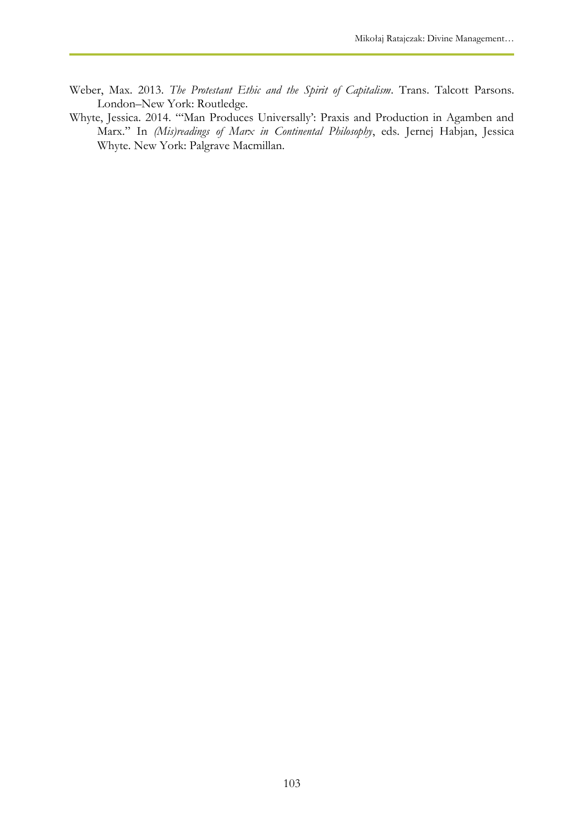- Weber, Max. 2013. *The Protestant Ethic and the Spirit of Capitalism*. Trans. Talcott Parsons. London–New York: Routledge.
- Whyte, Jessica. 2014. "'Man Produces Universally': Praxis and Production in Agamben and Marx." In *(Mis)readings of Marx in Continental Philosophy*, eds. Jernej Habjan, Jessica Whyte. New York: Palgrave Macmillan.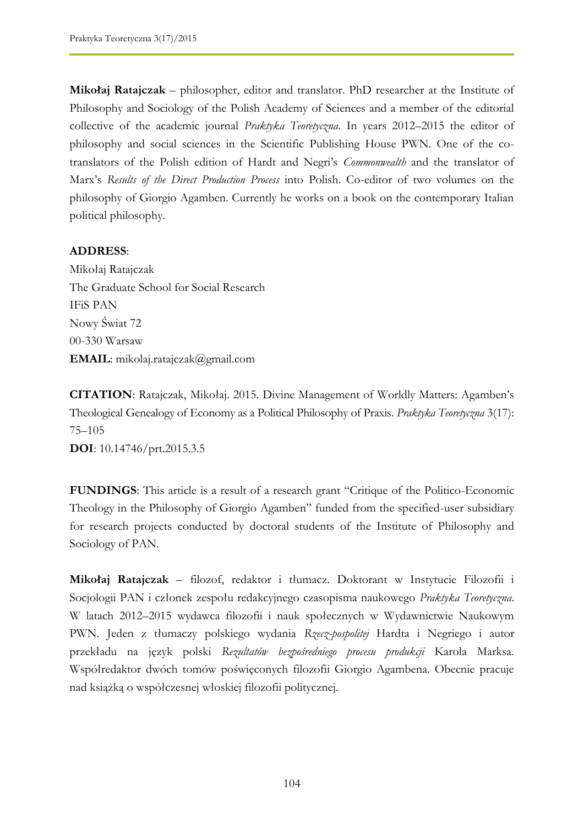**Mikołaj Ratajczak** – philosopher, editor and translator. PhD researcher at the Institute of Philosophy and Sociology of the Polish Academy of Sciences and a member of the editorial collective of the academic journal *Praktyka Teoretyczna*. In years 2012–2015 the editor of philosophy and social sciences in the Scientific Publishing House PWN. One of the cotranslators of the Polish edition of Hardt and Negri's *Commonwealth* and the translator of Marx's *Results of the Direct Production Process* into Polish. Co-editor of two volumes on the philosophy of Giorgio Agamben. Currently he works on a book on the contemporary Italian political philosophy.

#### **ADDRESS**:

Mikołaj Ratajczak The Graduate School for Social Research IFiS PAN Nowy Świat 72 00-330 Warsaw **EMAIL**: mikolaj.ratajczak@gmail.com

**CITATION**: Ratajczak, Mikołaj. 2015. Divine Management of Worldly Matters: Agamben's Theological Genealogy of Economy as a Political Philosophy of Praxis. *Praktyka Teoretyczna* 3(17): 75–105 **DOI**: 10.14746/prt.2015.3.5

**FUNDINGS**: This article is a result of a research grant "Critique of the Politico-Economic Theology in the Philosophy of Giorgio Agamben" funded from the specified-user subsidiary for research projects conducted by doctoral students of the Institute of Philosophy and Sociology of PAN.

**Mikołaj Ratajczak** – filozof, redaktor i tłumacz. Doktorant w Instytucie Filozofii i Socjologii PAN i członek zespołu redakcyjnego czasopisma naukowego *Praktyka Teoretyczna*. W latach 2012–2015 wydawca filozofii i nauk społecznych w Wydawnictwie Naukowym PWN. Jeden z tłumaczy polskiego wydania *Rzecz-pospolitej* Hardta i Negriego i autor przekładu na język polski *Rezultatów bezpośredniego procesu produkcji* Karola Marksa. Współredaktor dwóch tomów poświęconych filozofii Giorgio Agambena. Obecnie pracuje nad książką o współczesnej włoskiej filozofii politycznej.